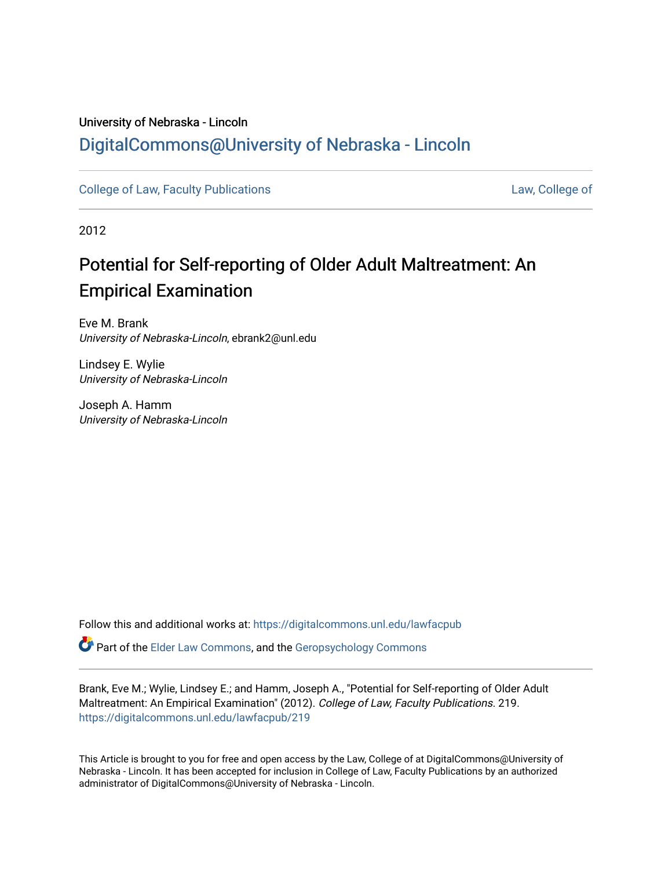## University of Nebraska - Lincoln [DigitalCommons@University of Nebraska - Lincoln](https://digitalcommons.unl.edu/)

[College of Law, Faculty Publications](https://digitalcommons.unl.edu/lawfacpub) [Law, College of](https://digitalcommons.unl.edu/law) Law, College of

2012

# Potential for Self-reporting of Older Adult Maltreatment: An Empirical Examination

Eve M. Brank University of Nebraska-Lincoln, ebrank2@unl.edu

Lindsey E. Wylie University of Nebraska-Lincoln

Joseph A. Hamm University of Nebraska-Lincoln

Follow this and additional works at: [https://digitalcommons.unl.edu/lawfacpub](https://digitalcommons.unl.edu/lawfacpub?utm_source=digitalcommons.unl.edu%2Flawfacpub%2F219&utm_medium=PDF&utm_campaign=PDFCoverPages) 

Part of the [Elder Law Commons](http://network.bepress.com/hgg/discipline/842?utm_source=digitalcommons.unl.edu%2Flawfacpub%2F219&utm_medium=PDF&utm_campaign=PDFCoverPages), and the [Geropsychology Commons](http://network.bepress.com/hgg/discipline/1420?utm_source=digitalcommons.unl.edu%2Flawfacpub%2F219&utm_medium=PDF&utm_campaign=PDFCoverPages)

Brank, Eve M.; Wylie, Lindsey E.; and Hamm, Joseph A., "Potential for Self-reporting of Older Adult Maltreatment: An Empirical Examination" (2012). College of Law, Faculty Publications. 219. [https://digitalcommons.unl.edu/lawfacpub/219](https://digitalcommons.unl.edu/lawfacpub/219?utm_source=digitalcommons.unl.edu%2Flawfacpub%2F219&utm_medium=PDF&utm_campaign=PDFCoverPages) 

This Article is brought to you for free and open access by the Law, College of at DigitalCommons@University of Nebraska - Lincoln. It has been accepted for inclusion in College of Law, Faculty Publications by an authorized administrator of DigitalCommons@University of Nebraska - Lincoln.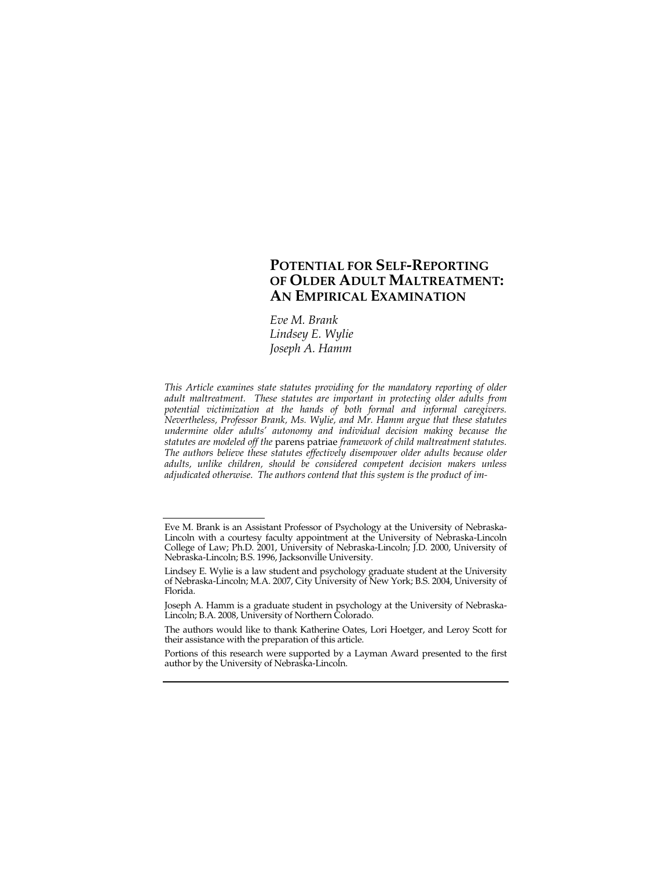## **POTENTIAL FOR SELF-REPORTING OF OLDER ADULT MALTREATMENT: AN EMPIRICAL EXAMINATION**

*Eve M. Brank Lindsey E. Wylie Joseph A. Hamm* 

*This Article examines state statutes providing for the mandatory reporting of older adult maltreatment. These statutes are important in protecting older adults from potential victimization at the hands of both formal and informal caregivers. Nevertheless, Professor Brank, Ms. Wylie, and Mr. Hamm argue that these statutes undermine older adults' autonomy and individual decision making because the statutes are modeled off the* parens patriae *framework of child maltreatment statutes. The authors believe these statutes effectively disempower older adults because older adults, unlike children, should be considered competent decision makers unless adjudicated otherwise. The authors contend that this system is the product of im-*

Eve M. Brank is an Assistant Professor of Psychology at the University of Nebraska-Lincoln with a courtesy faculty appointment at the University of Nebraska-Lincoln College of Law; Ph.D. 2001, University of Nebraska-Lincoln; J.D. 2000, University of Nebraska-Lincoln; B.S. 1996, Jacksonville University.

Lindsey E. Wylie is a law student and psychology graduate student at the University of Nebraska-Lincoln; M.A. 2007, City University of New York; B.S. 2004, University of Florida.

Joseph A. Hamm is a graduate student in psychology at the University of Nebraska-Lincoln; B.A. 2008, University of Northern Colorado.

The authors would like to thank Katherine Oates, Lori Hoetger, and Leroy Scott for their assistance with the preparation of this article.

Portions of this research were supported by a Layman Award presented to the first author by the University of Nebraska-Lincoln.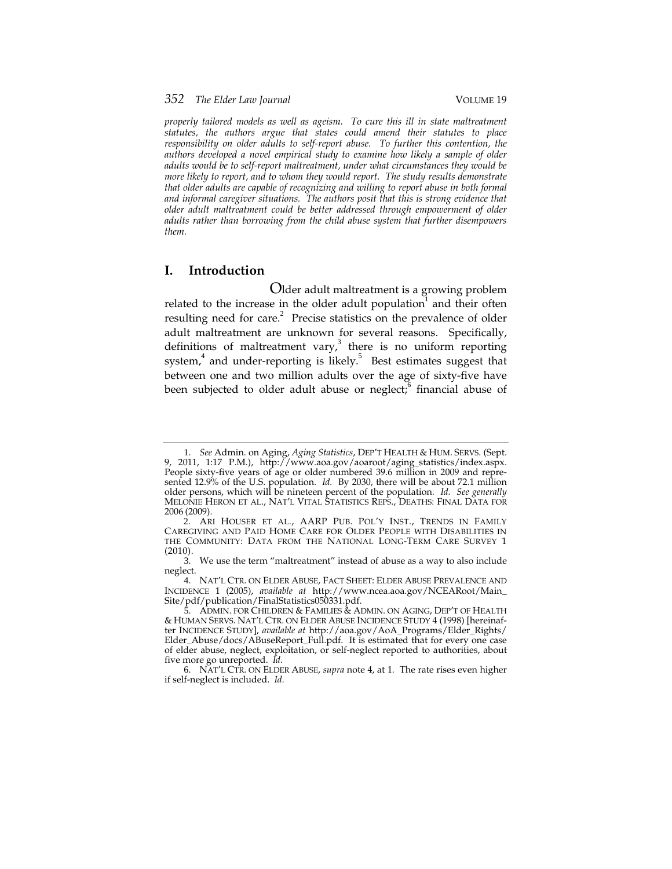*properly tailored models as well as ageism. To cure this ill in state maltreatment statutes, the authors argue that states could amend their statutes to place responsibility on older adults to self-report abuse. To further this contention, the authors developed a novel empirical study to examine how likely a sample of older adults would be to self-report maltreatment, under what circumstances they would be more likely to report, and to whom they would report. The study results demonstrate that older adults are capable of recognizing and willing to report abuse in both formal and informal caregiver situations. The authors posit that this is strong evidence that older adult maltreatment could be better addressed through empowerment of older adults rather than borrowing from the child abuse system that further disempowers them.* 

### **I. Introduction**

Older adult maltreatment is a growing problem related to the increase in the older adult population  $\overline{a}$  and their often resulting need for care. $^{2}$  Precise statistics on the prevalence of older adult maltreatment are unknown for several reasons. Specifically, definitions of maltreatment vary, $3$  there is no uniform reporting system,<sup>4</sup> and under-reporting is likely.<sup>5</sup> Best estimates suggest that between one and two million adults over the age of sixty-five have been subjected to older adult abuse or neglect; financial abuse of

<sup>1</sup>. *See* Admin. on Aging, *Aging Statistics*, DEP'T HEALTH & HUM. SERVS. (Sept. 9, 2011, 1:17 P.M.), http://www.aoa.gov/aoaroot/aging\_statistics/index.aspx. People sixty-five years of age or older numbered 39.6 million in 2009 and represented 12.9% of the U.S. population. *Id.* By 2030, there will be about 72.1 million older persons, which will be nineteen percent of the population. *Id. See generally* MELONIE HERON ET AL., NAT'L VITAL STATISTICS REPS., DEATHS: FINAL DATA FOR 2006 (2009).

<sup>2</sup>. ARI HOUSER ET AL., AARP PUB. POL'Y INST., TRENDS IN FAMILY CAREGIVING AND PAID HOME CARE FOR OLDER PEOPLE WITH DISABILITIES IN THE COMMUNITY: DATA FROM THE NATIONAL LONG-TERM CARE SURVEY 1 (2010).

<sup>3</sup>. We use the term "maltreatment" instead of abuse as a way to also include neglect.

<sup>4</sup>. NAT'L CTR. ON ELDER ABUSE, FACT SHEET: ELDER ABUSE PREVALENCE AND INCIDENCE 1 (2005), *available at* http://www.ncea.aoa.gov/NCEARoot/Main\_ Site/pdf/publication/FinalStatistics050331.pdf.

<sup>5</sup>. ADMIN. FOR CHILDREN & FAMILIES & ADMIN. ON AGING, DEP'T OF HEALTH & HUMAN SERVS. NAT'L CTR. ON ELDER ABUSE INCIDENCE STUDY 4 (1998) [hereinafter INCIDENCE STUDY], *available at* http://aoa.gov/AoA\_Programs/Elder\_Rights/ Elder\_Abuse/docs/ABuseReport\_Full.pdf. It is estimated that for every one case of elder abuse, neglect, exploitation, or self-neglect reported to authorities, about five more go unreported. *Id.*

<sup>6</sup>. NAT'L CTR. ON ELDER ABUSE, *supra* note 4, at 1. The rate rises even higher if self-neglect is included. *Id.*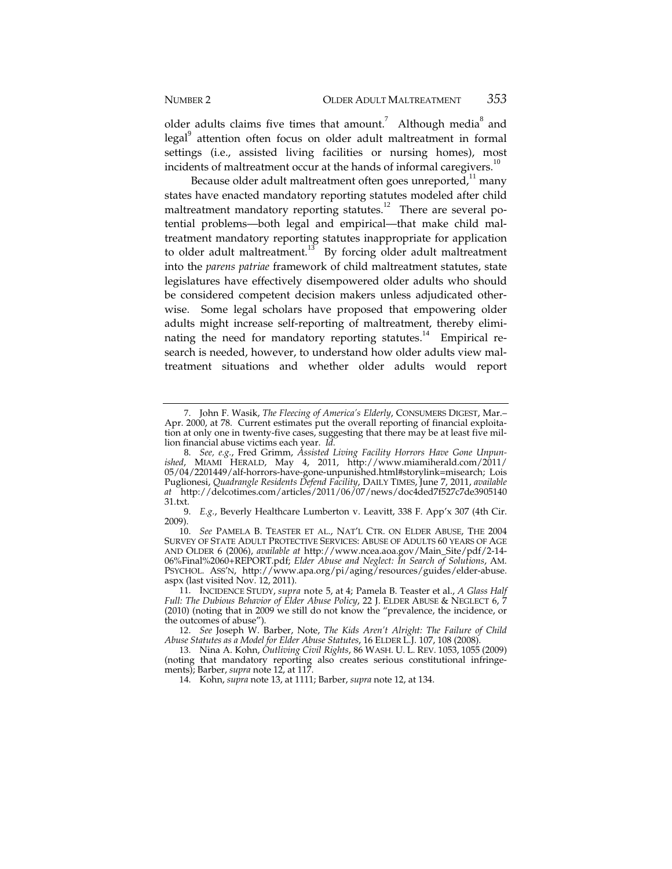older adults claims five times that amount.<sup>7</sup> Although media<sup>8</sup> and legal<sup>9</sup> attention often focus on older adult maltreatment in formal settings (i.e., assisted living facilities or nursing homes), most incidents of maltreatment occur at the hands of informal caregivers. $10$ 

Because older adult maltreatment often goes unreported, $11$  many states have enacted mandatory reporting statutes modeled after child maltreatment mandatory reporting statutes.<sup>12</sup> There are several potential problems—both legal and empirical—that make child maltreatment mandatory reporting statutes inappropriate for application to older adult maltreatment.<sup>13</sup> By forcing older adult maltreatment into the *parens patriae* framework of child maltreatment statutes, state legislatures have effectively disempowered older adults who should be considered competent decision makers unless adjudicated otherwise. Some legal scholars have proposed that empowering older adults might increase self-reporting of maltreatment, thereby eliminating the need for mandatory reporting statutes.<sup>14</sup> Empirical research is needed, however, to understand how older adults view maltreatment situations and whether older adults would report

<sup>7</sup>. John F. Wasik, *The Fleecing of America's Elderly*, CONSUMERS DIGEST, Mar.– Apr. 2000, at 78. Current estimates put the overall reporting of financial exploitation at only one in twenty-five cases, suggesting that there may be at least five million financial abuse victims each year. *Id.*

<sup>8</sup>. *See, e.g.*, Fred Grimm, *Assisted Living Facility Horrors Have Gone Unpunished*, MIAMI HERALD, May 4, 2011, http://www.miamiherald.com/2011/ 05/04/2201449/alf-horrors-have-gone-unpunished.html#storylink=misearch; Lois Puglionesi, *Quadrangle Residents Defend Facility*, DAILY TIMES, June 7, 2011, *available at* http://delcotimes.com/articles/2011/06/07/news/doc4ded7f527c7de3905140 31.txt.

<sup>9</sup>. *E.g.*, Beverly Healthcare Lumberton v. Leavitt, 338 F. App'x 307 (4th Cir. 2009).

<sup>10</sup>. *See* PAMELA B. TEASTER ET AL., NAT'L CTR. ON ELDER ABUSE, THE 2004 SURVEY OF STATE ADULT PROTECTIVE SERVICES: ABUSE OF ADULTS 60 YEARS OF AGE AND OLDER 6 (2006), *available at* http://www.ncea.aoa.gov/Main\_Site/pdf/2-14- 06%Final%2060+REPORT.pdf; *Elder Abuse and Neglect: In Search of Solutions*, AM. PSYCHOL. ASS'N, http://www.apa.org/pi/aging/resources/guides/elder-abuse. aspx (last visited Nov. 12, 2011).

<sup>11</sup>. INCIDENCE STUDY, *supra* note 5, at 4; Pamela B. Teaster et al., *A Glass Half Full: The Dubious Behavior of Elder Abuse Policy*, 22 J. ELDER ABUSE & NEGLECT 6, 7 (2010) (noting that in 2009 we still do not know the "prevalence, the incidence, or the outcomes of abuse").

<sup>12</sup>. *See* Joseph W. Barber, Note, *The Kids Aren't Alright: The Failure of Child Abuse Statutes as a Model for Elder Abuse Statutes*, 16 ELDER L.J. 107, 108 (2008).

<sup>13</sup>. Nina A. Kohn, *Outliving Civil Rights*, 86 WASH. U. L. REV. 1053, 1055 (2009) (noting that mandatory reporting also creates serious constitutional infringements); Barber, *supra* note 12, at 117.

<sup>14</sup>. Kohn, *supra* note 13, at 1111; Barber, *supra* note 12, at 134.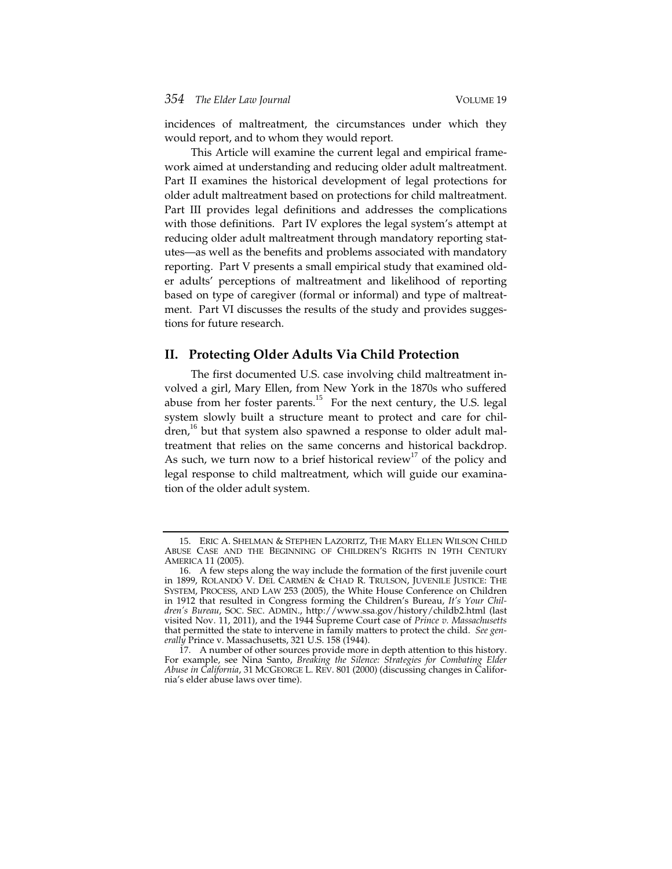incidences of maltreatment, the circumstances under which they would report, and to whom they would report.

This Article will examine the current legal and empirical framework aimed at understanding and reducing older adult maltreatment. Part II examines the historical development of legal protections for older adult maltreatment based on protections for child maltreatment. Part III provides legal definitions and addresses the complications with those definitions. Part IV explores the legal system's attempt at reducing older adult maltreatment through mandatory reporting statutes—as well as the benefits and problems associated with mandatory reporting. Part V presents a small empirical study that examined older adults' perceptions of maltreatment and likelihood of reporting based on type of caregiver (formal or informal) and type of maltreatment. Part VI discusses the results of the study and provides suggestions for future research.

#### **II. Protecting Older Adults Via Child Protection**

The first documented U.S. case involving child maltreatment involved a girl, Mary Ellen, from New York in the 1870s who suffered abuse from her foster parents.<sup>15</sup> For the next century, the U.S. legal system slowly built a structure meant to protect and care for chil- $\alpha$  dren,<sup>16</sup> but that system also spawned a response to older adult maltreatment that relies on the same concerns and historical backdrop. As such, we turn now to a brief historical review<sup>17</sup> of the policy and legal response to child maltreatment, which will guide our examination of the older adult system.

<sup>15</sup>. ERIC A. SHELMAN & STEPHEN LAZORITZ, THE MARY ELLEN WILSON CHILD ABUSE CASE AND THE BEGINNING OF CHILDREN'S RIGHTS IN 19TH CENTURY AMERICA 11 (2005).

<sup>16</sup>. A few steps along the way include the formation of the first juvenile court in 1899, ROLANDO V. DEL CARMEN & CHAD R. TRULSON, JUVENILE JUSTICE: THE SYSTEM, PROCESS, AND LAW 253 (2005), the White House Conference on Children in 1912 that resulted in Congress forming the Children's Bureau, *It's Your Children's Bureau*, SOC. SEC. ADMIN., http://www.ssa.gov/history/childb2.html (last visited Nov. 11, 2011), and the 1944 Supreme Court case of *Prince v. Massachusetts* that permitted the state to intervene in family matters to protect the child. *See generally* Prince v. Massachusetts, 321 U.S. 158 (1944).

<sup>17</sup>. A number of other sources provide more in depth attention to this history. For example, see Nina Santo, *Breaking the Silence: Strategies for Combating Elder Abuse in California*, 31 MCGEORGE L. REV. 801 (2000) (discussing changes in California's elder abuse laws over time).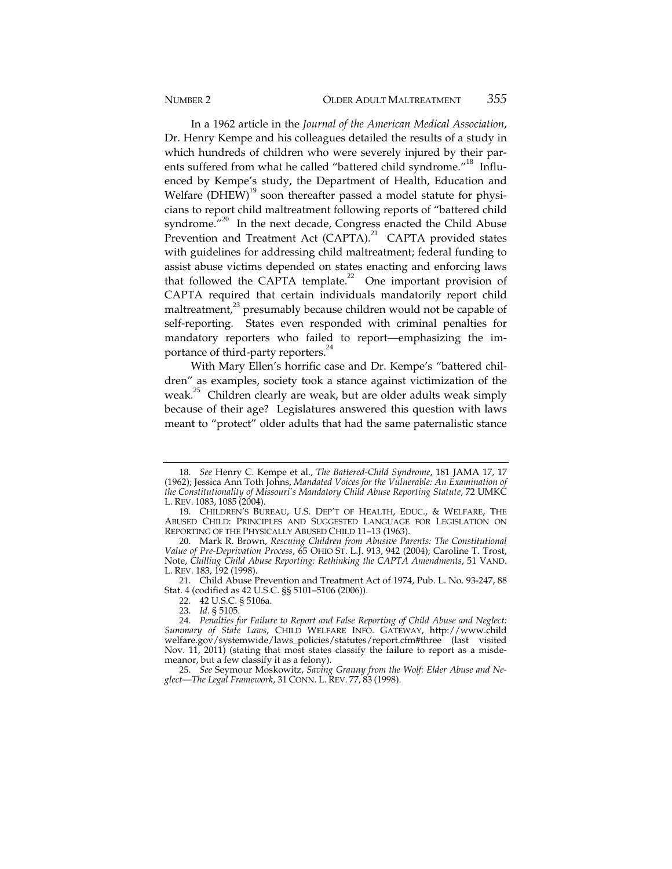In a 1962 article in the *Journal of the American Medical Association*, Dr. Henry Kempe and his colleagues detailed the results of a study in which hundreds of children who were severely injured by their parents suffered from what he called "battered child syndrome."<sup>18</sup> Influenced by Kempe's study, the Department of Health, Education and Welfare  $(DHEW)^{19}$  soon thereafter passed a model statute for physicians to report child maltreatment following reports of "battered child syndrome."<sup>20</sup> In the next decade, Congress enacted the Child Abuse Prevention and Treatment Act  $(CAPTA)^{21}$  CAPTA provided states with guidelines for addressing child maltreatment; federal funding to assist abuse victims depended on states enacting and enforcing laws that followed the CAPTA template.<sup>22</sup> One important provision of CAPTA required that certain individuals mandatorily report child maltreatment, $^{23}$  presumably because children would not be capable of self-reporting. States even responded with criminal penalties for mandatory reporters who failed to report—emphasizing the importance of third-party reporters.<sup>24</sup>

With Mary Ellen's horrific case and Dr. Kempe's "battered children" as examples, society took a stance against victimization of the weak.<sup>25</sup> Children clearly are weak, but are older adults weak simply because of their age? Legislatures answered this question with laws meant to "protect" older adults that had the same paternalistic stance

22. 42 U.S.C. § 5106a.

<sup>18</sup>. *See* Henry C. Kempe et al., *The Battered-Child Syndrome*, 181 JAMA 17, 17 (1962); Jessica Ann Toth Johns, *Mandated Voices for the Vulnerable: An Examination of the Constitutionality of Missouri's Mandatory Child Abuse Reporting Statute*, 72 UMKC L. REV. 1083, 1085 (2004).

<sup>19</sup>. CHILDREN'S BUREAU, U.S. DEP'T OF HEALTH, EDUC., & WELFARE, THE ABUSED CHILD: PRINCIPLES AND SUGGESTED LANGUAGE FOR LEGISLATION ON REPORTING OF THE PHYSICALLY ABUSED CHILD 11–13 (1963).

<sup>20</sup>. Mark R. Brown, *Rescuing Children from Abusive Parents: The Constitutional Value of Pre-Deprivation Process*, 65 OHIO ST. L.J. 913, 942 (2004); Caroline T. Trost, Note, *Chilling Child Abuse Reporting: Rethinking the CAPTA Amendments*, 51 VAND. L. REV. 183, 192 (1998).

<sup>21</sup>. Child Abuse Prevention and Treatment Act of 1974, Pub. L. No. 93-247, 88 Stat. 4 (codified as 42 U.S.C. §§ 5101–5106 (2006)).

<sup>23</sup>. *Id.* § 5105.

<sup>24</sup>. *Penalties for Failure to Report and False Reporting of Child Abuse and Neglect: Summary of State Laws*, CHILD WELFARE INFO. GATEWAY, http://www.child welfare.gov/systemwide/laws\_policies/statutes/report.cfm#three (last visited Nov. 11, 2011) (stating that most states classify the failure to report as a misdemeanor, but a few classify it as a felony).

<sup>25</sup>. *See* Seymour Moskowitz, *Saving Granny from the Wolf: Elder Abuse and Neglect—The Legal Framework*, 31 CONN. L. REV. 77, 83 (1998).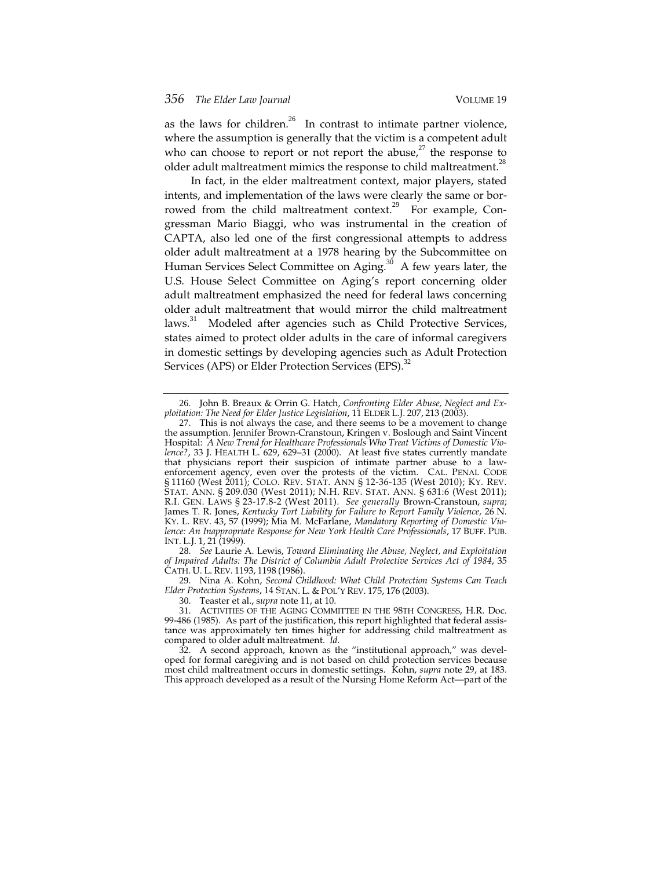as the laws for children.<sup>26</sup> In contrast to intimate partner violence, where the assumption is generally that the victim is a competent adult who can choose to report or not report the abuse, $^{27}$  the response to older adult maltreatment mimics the response to child maltreatment.<sup>28</sup>

In fact, in the elder maltreatment context, major players, stated intents, and implementation of the laws were clearly the same or borrowed from the child maltreatment context.<sup>29</sup> For example, Congressman Mario Biaggi, who was instrumental in the creation of CAPTA, also led one of the first congressional attempts to address older adult maltreatment at a 1978 hearing by the Subcommittee on Human Services Select Committee on Aging.<sup>30</sup> A few years later, the U.S. House Select Committee on Aging's report concerning older adult maltreatment emphasized the need for federal laws concerning older adult maltreatment that would mirror the child maltreatment laws.<sup>31</sup> Modeled after agencies such as Child Protective Services, states aimed to protect older adults in the care of informal caregivers in domestic settings by developing agencies such as Adult Protection Services (APS) or Elder Protection Services (EPS).<sup>32</sup>

28. *See* Laurie A. Lewis, *Toward Eliminating the Abuse, Neglect, and Exploitation of Impaired Adults: The District of Columbia Adult Protective Services Act of 1984*, 35 CATH. U. L. REV. 1193, 1198 (1986).

29. Nina A. Kohn, *Second Childhood: What Child Protection Systems Can Teach Elder Protection Systems*, 14 STAN. L. & POL'Y REV. 175, 176 (2003).

32. A second approach, known as the "institutional approach," was developed for formal caregiving and is not based on child protection services because most child maltreatment occurs in domestic settings. Kohn, *supra* note 29, at 183. This approach developed as a result of the Nursing Home Reform Act—part of the

<sup>26</sup>. John B. Breaux & Orrin G. Hatch, *Confronting Elder Abuse, Neglect and Exploitation: The Need for Elder Justice Legislation*, 11 ELDER L.J. 207, 213 (2003).

<sup>27</sup>. This is not always the case, and there seems to be a movement to change the assumption. Jennifer Brown-Cranstoun, Kringen v. Boslough and Saint Vincent Hospital: *A New Trend for Healthcare Professionals Who Treat Victims of Domestic Violence?*, 33 J. HEALTH L. 629, 629–31 (2000). At least five states currently mandate that physicians report their suspicion of intimate partner abuse to a lawenforcement agency, even over the protests of the victim. CAL. PENAL CODE § 11160 (West 2011); COLO. REV. STAT. ANN § 12-36-135 (West 2010); KY. REV. STAT. ANN. § 209.030 (West 2011); N.H. REV. STAT. ANN. § 631:6 (West 2011); R.I. GEN. LAWS § 23-17.8-2 (West 2011). *See generally* Brown-Cranstoun, *supra*; James T. R. Jones, *Kentucky Tort Liability for Failure to Report Family Violence,* 26 N. KY. L. REV. 43, 57 (1999); Mia M. McFarlane, *Mandatory Reporting of Domestic Violence: An Inappropriate Response for New York Health Care Professionals*, 17 BUFF. PUB. INT. L.J. 1, 21 (1999).

<sup>30</sup>. Teaster et al., s*upra* note 11, at 10.

<sup>31</sup>. ACTIVITIES OF THE AGING COMMITTEE IN THE 98TH CONGRESS, H.R. Doc. 99-486 (1985). As part of the justification, this report highlighted that federal assistance was approximately ten times higher for addressing child maltreatment as compared to older adult maltreatment. *Id.*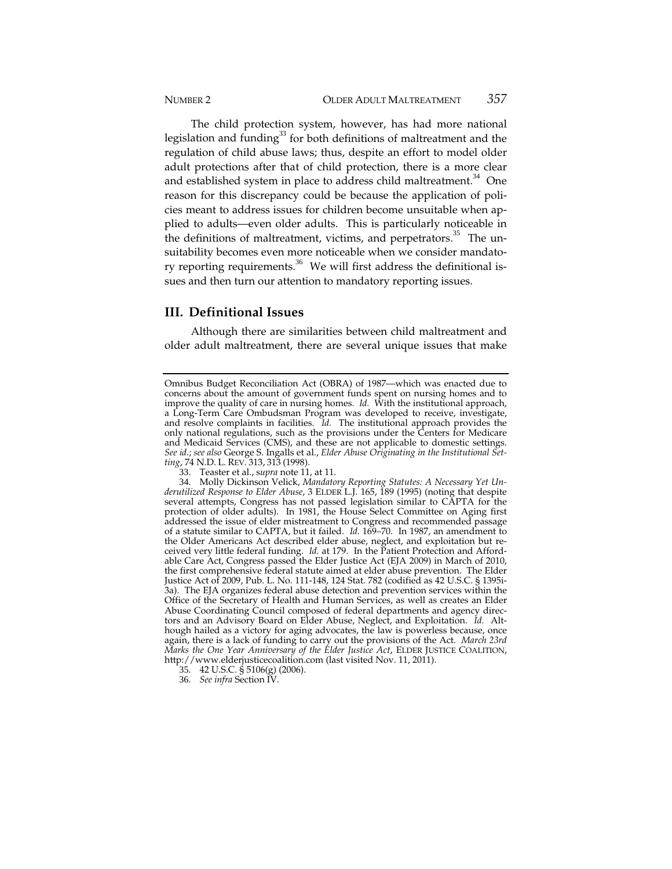The child protection system, however, has had more national legislation and funding $^{33}$  for both definitions of maltreatment and the regulation of child abuse laws; thus, despite an effort to model older adult protections after that of child protection, there is a more clear and established system in place to address child maltreatment.<sup>34</sup> One reason for this discrepancy could be because the application of policies meant to address issues for children become unsuitable when applied to adults—even older adults. This is particularly noticeable in the definitions of maltreatment, victims, and perpetrators.<sup>35</sup> The unsuitability becomes even more noticeable when we consider mandatory reporting requirements.<sup>36</sup> We will first address the definitional issues and then turn our attention to mandatory reporting issues.

#### **III. Definitional Issues**

Although there are similarities between child maltreatment and older adult maltreatment, there are several unique issues that make

Omnibus Budget Reconciliation Act (OBRA) of 1987—which was enacted due to concerns about the amount of government funds spent on nursing homes and to improve the quality of care in nursing homes. *Id.* With the institutional approach, a Long-Term Care Ombudsman Program was developed to receive, investigate, and resolve complaints in facilities. *Id.* The institutional approach provides the only national regulations, such as the provisions under the Centers for Medicare and Medicaid Services (CMS), and these are not applicable to domestic settings. *See id.*; *see also* George S. Ingalls et al., *Elder Abuse Originating in the Institutional Setting*, 74 N.D. L. REV. 313, 313 (1998).

<sup>33</sup>. Teaster et al., s*upra* note 11, at 11.

<sup>34</sup>. Molly Dickinson Velick, *Mandatory Reporting Statutes: A Necessary Yet Underutilized Response to Elder Abuse*, 3 ELDER L.J. 165, 189 (1995) (noting that despite several attempts, Congress has not passed legislation similar to CAPTA for the protection of older adults). In 1981, the House Select Committee on Aging first addressed the issue of elder mistreatment to Congress and recommended passage of a statute similar to CAPTA, but it failed. *Id.* 169–70. In 1987, an amendment to the Older Americans Act described elder abuse, neglect, and exploitation but received very little federal funding. *Id.* at 179. In the Patient Protection and Affordable Care Act, Congress passed the Elder Justice Act (EJA 2009) in March of 2010, the first comprehensive federal statute aimed at elder abuse prevention. The Elder Justice Act of 2009, Pub. L. No. 111-148, 124 Stat. 782 (codified as 42 U.S.C. § 1395i-3a). The EJA organizes federal abuse detection and prevention services within the Office of the Secretary of Health and Human Services, as well as creates an Elder Abuse Coordinating Council composed of federal departments and agency directors and an Advisory Board on Elder Abuse, Neglect, and Exploitation. *Id.* Although hailed as a victory for aging advocates, the law is powerless because, once again, there is a lack of funding to carry out the provisions of the Act. *March 23rd Marks the One Year Anniversary of the Elder Justice Act*, ELDER JUSTICE COALITION, http://www.elderjusticecoalition.com (last visited Nov. 11, 2011).

<sup>35</sup>. 42 U.S.C. § 5106(g) (2006).

<sup>36</sup>. *See infra* Section IV.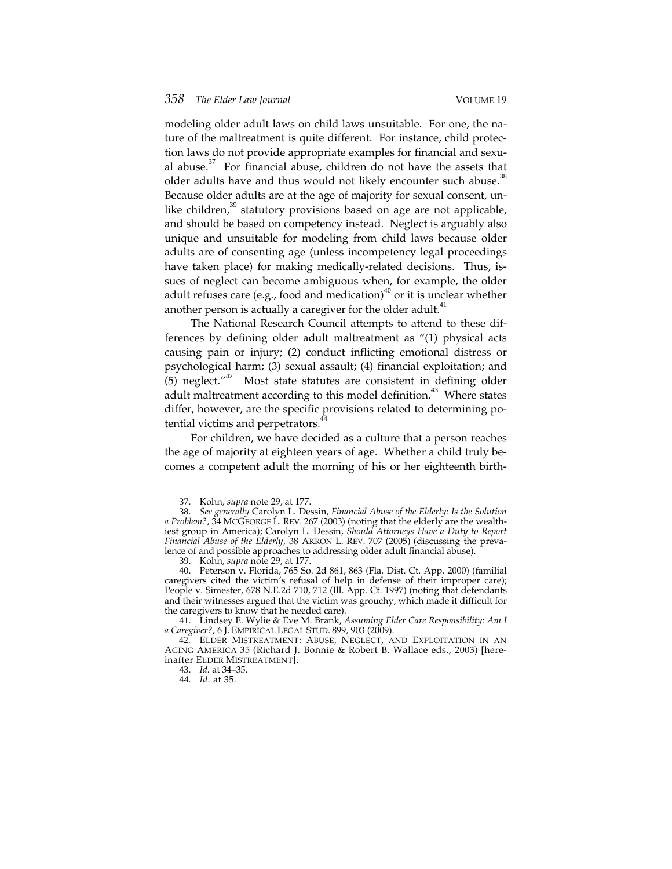modeling older adult laws on child laws unsuitable. For one, the nature of the maltreatment is quite different. For instance, child protection laws do not provide appropriate examples for financial and sexual abuse. $37$  For financial abuse, children do not have the assets that older adults have and thus would not likely encounter such abuse.<sup>38</sup> Because older adults are at the age of majority for sexual consent, unlike children, $39$  statutory provisions based on age are not applicable, and should be based on competency instead. Neglect is arguably also unique and unsuitable for modeling from child laws because older adults are of consenting age (unless incompetency legal proceedings have taken place) for making medically-related decisions. Thus, issues of neglect can become ambiguous when, for example, the older adult refuses care (e.g., food and medication)<sup>40</sup> or it is unclear whether another person is actually a caregiver for the older adult. $41$ 

The National Research Council attempts to attend to these differences by defining older adult maltreatment as "(1) physical acts causing pain or injury; (2) conduct inflicting emotional distress or psychological harm; (3) sexual assault; (4) financial exploitation; and  $(5)$  neglect."<sup>42</sup> Most state statutes are consistent in defining older adult maltreatment according to this model definition.<sup>43</sup> Where states differ, however, are the specific provisions related to determining potential victims and perpetrators. $44$ 

For children, we have decided as a culture that a person reaches the age of majority at eighteen years of age. Whether a child truly becomes a competent adult the morning of his or her eighteenth birth-

<sup>37</sup>. Kohn, *supra* note 29, at 177.

<sup>38</sup>. *See generally* Carolyn L. Dessin, *Financial Abuse of the Elderly: Is the Solution a Problem?*, 34 MCGEORGE L. REV. 267 (2003) (noting that the elderly are the wealthiest group in America); Carolyn L. Dessin, *Should Attorneys Have a Duty to Report Financial Abuse of the Elderly*, 38 AKRON L. REV. 707 (2005) (discussing the prevalence of and possible approaches to addressing older adult financial abuse).

<sup>39</sup>. Kohn, *supra* note 29, at 177.

<sup>40</sup>. Peterson v. Florida, 765 So. 2d 861, 863 (Fla. Dist. Ct. App. 2000) (familial caregivers cited the victim's refusal of help in defense of their improper care); People v. Simester, 678 N.E.2d 710, 712 (Ill. App. Ct. 1997) (noting that defendants and their witnesses argued that the victim was grouchy, which made it difficult for the caregivers to know that he needed care).

<sup>41</sup>. Lindsey E. Wylie & Eve M. Brank, *Assuming Elder Care Responsibility: Am I a Caregiver?*, 6 J. EMPIRICAL LEGAL STUD. 899, 903 (2009).

<sup>42</sup>. ELDER MISTREATMENT: ABUSE, NEGLECT, AND EXPLOITATION IN AN AGING AMERICA 35 (Richard J. Bonnie & Robert B. Wallace eds., 2003) [hereinafter ELDER MISTREATMENT].

<sup>43</sup>. *Id.* at 34–35.

<sup>44</sup>. *Id.* at 35.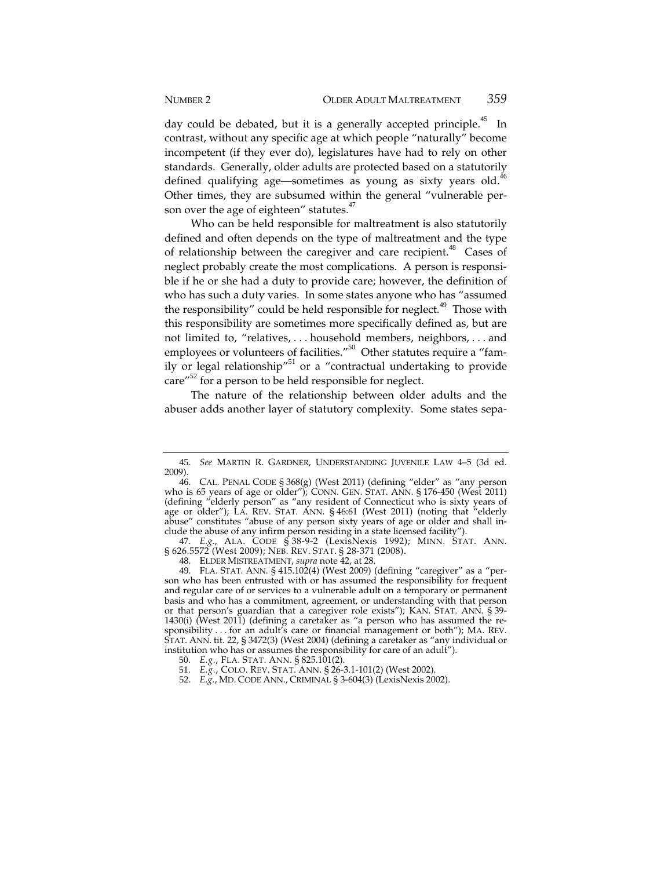day could be debated, but it is a generally accepted principle.<sup>45</sup> In contrast, without any specific age at which people "naturally" become incompetent (if they ever do), legislatures have had to rely on other standards. Generally, older adults are protected based on a statutorily defined qualifying age—sometimes as young as sixty years old.<sup>46</sup> Other times, they are subsumed within the general "vulnerable person over the age of eighteen" statutes. $47$ 

Who can be held responsible for maltreatment is also statutorily defined and often depends on the type of maltreatment and the type of relationship between the caregiver and care recipient.<sup>48</sup> Cases of neglect probably create the most complications. A person is responsible if he or she had a duty to provide care; however, the definition of who has such a duty varies. In some states anyone who has "assumed the responsibility" could be held responsible for neglect.<sup>49</sup> Those with this responsibility are sometimes more specifically defined as, but are not limited to, "relatives, . . . household members, neighbors, . . . and employees or volunteers of facilities."<sup>50</sup> Other statutes require a "family or legal relationship<sup>"51</sup> or a "contractual undertaking to provide care $^{\prime\prime52}$  for a person to be held responsible for neglect.

The nature of the relationship between older adults and the abuser adds another layer of statutory complexity. Some states sepa-

<sup>45</sup>. *See* MARTIN R. GARDNER, UNDERSTANDING JUVENILE LAW 4–5 (3d ed. 2009).

<sup>46</sup>. CAL. PENAL CODE § 368(g) (West 2011) (defining "elder" as "any person who is 65 years of age or older"); CONN. GEN. STAT. ANN. § 176-450 (West 2011) (defining "elderly person" as "any resident of Connecticut who is sixty years of age or older"); LA. REV. STAT. ANN. § 46:61 (West 2011) (noting that "elderly abuse" constitutes "abuse of any person sixty years of age or older and shall include the abuse of any infirm person residing in a state licensed facility").

<sup>47</sup>. *E.g.*, ALA. CODE § 38-9-2 (LexisNexis 1992); MINN. STAT. ANN. § 626.5572 (West 2009); NEB. REV. STAT. § 28-371 (2008).

<sup>48</sup>. ELDER MISTREATMENT, *supra* note 42, at 28.

<sup>49</sup>. FLA. STAT. ANN. § 415.102(4) (West 2009) (defining "caregiver" as a "person who has been entrusted with or has assumed the responsibility for frequent and regular care of or services to a vulnerable adult on a temporary or permanent basis and who has a commitment, agreement, or understanding with that person or that person's guardian that a caregiver role exists"); KAN. STAT. ANN. § 39- 1430(i) (West 2011) (defining a caretaker as "a person who has assumed the responsibility . . . for an adult's care or financial management or both"); MA. REV. STAT. ANN. tit. 22, § 3472(3) (West 2004) (defining a caretaker as "any individual or institution who has or assumes the responsibility for care of an adult").

<sup>50</sup>. *E.g.*, FLA. STAT. ANN. § 825.101(2).

<sup>51</sup>. *E.g.*, COLO. REV. STAT. ANN. § 26-3.1-101(2) (West 2002).

<sup>52</sup>. *E.g.*, MD. CODE ANN., CRIMINAL § 3-604(3) (LexisNexis 2002).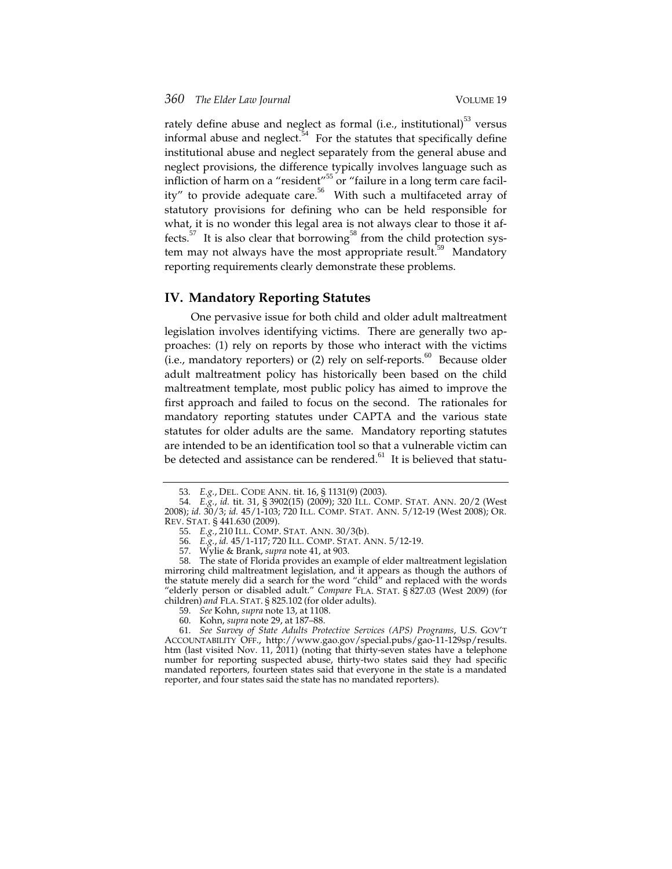rately define abuse and neglect as formal (i.e., institutional) $^{53}$  versus informal abuse and neglect. $54$  For the statutes that specifically define institutional abuse and neglect separately from the general abuse and neglect provisions, the difference typically involves language such as infliction of harm on a "resident"<sup>55</sup> or "failure in a long term care facility" to provide adequate care. $56$  With such a multifaceted array of statutory provisions for defining who can be held responsible for what, it is no wonder this legal area is not always clear to those it affects.<sup>57</sup> It is also clear that borrowing<sup>58</sup> from the child protection system may not always have the most appropriate result.<sup>59</sup> Mandatory reporting requirements clearly demonstrate these problems.

#### **IV. Mandatory Reporting Statutes**

One pervasive issue for both child and older adult maltreatment legislation involves identifying victims. There are generally two approaches: (1) rely on reports by those who interact with the victims (i.e., mandatory reporters) or  $(2)$  rely on self-reports.<sup>60</sup> Because older adult maltreatment policy has historically been based on the child maltreatment template, most public policy has aimed to improve the first approach and failed to focus on the second. The rationales for mandatory reporting statutes under CAPTA and the various state statutes for older adults are the same. Mandatory reporting statutes are intended to be an identification tool so that a vulnerable victim can be detected and assistance can be rendered.<sup>61</sup> It is believed that statu-

<sup>53</sup>. *E.g.*, DEL. CODE ANN. tit. 16, § 1131(9) (2003).

<sup>54</sup>. *E.g.*, *id.* tit. 31, § 3902(15) (2009); 320 ILL. COMP. STAT. ANN. 20/2 (West 2008); *id.* 30/3; *id.* 45/1-103; 720 ILL. COMP. STAT. ANN. 5/12-19 (West 2008); OR. REV. STAT. § 441.630 (2009).

<sup>55</sup>. *E.g.*, 210 ILL. COMP. STAT. ANN. 30/3(b).

<sup>56</sup>. *E.g.*, *id.* 45/1-117; 720 ILL. COMP. STAT. ANN. 5/12-19.

<sup>57</sup>. Wylie & Brank, *supra* note 41, at 903.

<sup>58</sup>. The state of Florida provides an example of elder maltreatment legislation mirroring child maltreatment legislation, and it appears as though the authors of the statute merely did a search for the word "child" and replaced with the words "elderly person or disabled adult." *Compare* FLA. STAT. § 827.03 (West 2009) (for children) *and* FLA. STAT. § 825.102 (for older adults).

<sup>59</sup>. *See* Kohn, *supra* note 13, at 1108.

<sup>60</sup>. Kohn, *supra* note 29, at 187–88.

<sup>61</sup>. *See Survey of State Adults Protective Services (APS) Programs*, U.S. GOV'T ACCOUNTABILITY OFF., http://www.gao.gov/special.pubs/gao-11-129sp/results. htm (last visited Nov. 11, 2011) (noting that thirty-seven states have a telephone number for reporting suspected abuse, thirty-two states said they had specific mandated reporters, fourteen states said that everyone in the state is a mandated reporter, and four states said the state has no mandated reporters).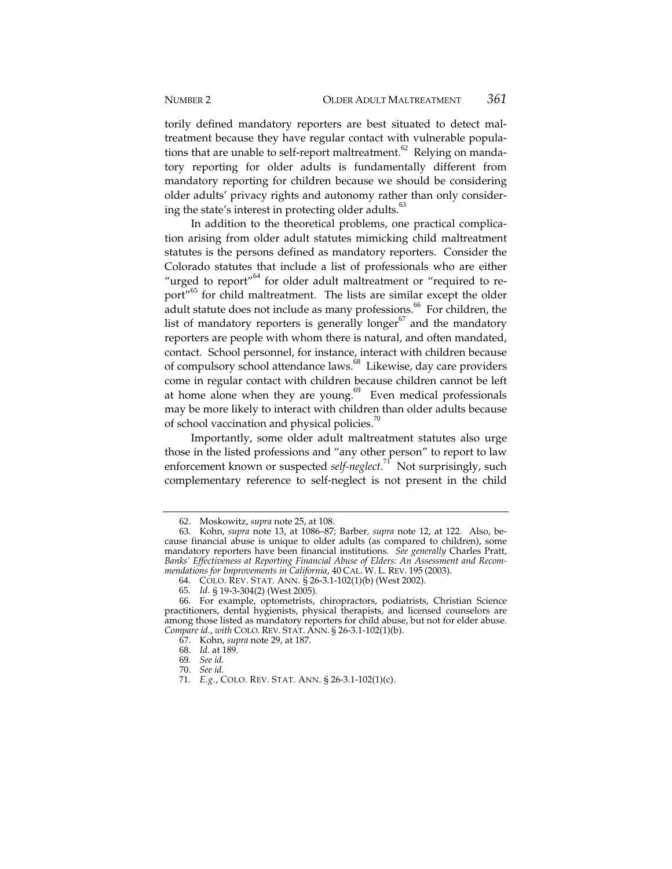torily defined mandatory reporters are best situated to detect maltreatment because they have regular contact with vulnerable populations that are unable to self-report maltreatment. $62$  Relying on mandatory reporting for older adults is fundamentally different from mandatory reporting for children because we should be considering older adults' privacy rights and autonomy rather than only considering the state's interest in protecting older adults. $63$ 

In addition to the theoretical problems, one practical complication arising from older adult statutes mimicking child maltreatment statutes is the persons defined as mandatory reporters. Consider the Colorado statutes that include a list of professionals who are either "urged to report"<sup>64</sup> for older adult maltreatment or "required to report"<sup>65</sup> for child maltreatment. The lists are similar except the older adult statute does not include as many professions.<sup>66</sup> For children, the list of mandatory reporters is generally longer $67$  and the mandatory reporters are people with whom there is natural, and often mandated, contact. School personnel, for instance, interact with children because of compulsory school attendance laws.<sup>68</sup> Likewise, day care providers come in regular contact with children because children cannot be left at home alone when they are young. $69$  Even medical professionals may be more likely to interact with children than older adults because of school vaccination and physical policies.<sup>70</sup>

Importantly, some older adult maltreatment statutes also urge those in the listed professions and "any other person" to report to law enforcement known or suspected *self-neglect*. <sup>71</sup> Not surprisingly, such complementary reference to self-neglect is not present in the child

<sup>62</sup>. Moskowitz, *supra* note 25, at 108.

<sup>63</sup>. Kohn, *supra* note 13, at 1086–87; Barber*, supra* note 12, at 122. Also, because financial abuse is unique to older adults (as compared to children), some mandatory reporters have been financial institutions. *See generally* Charles Pratt, *Banks' Effectiveness at Reporting Financial Abuse of Elders: An Assessment and Recommendations for Improvements in California*, 40 CAL. W. L. REV. 195 (2003).

<sup>64</sup>. COLO. REV. STAT. ANN. § 26-3.1-102(1)(b) (West 2002).

<sup>65</sup>. *Id.* § 19-3-304(2) (West 2005).

<sup>66</sup>. For example, optometrists, chiropractors, podiatrists, Christian Science practitioners, dental hygienists, physical therapists, and licensed counselors are among those listed as mandatory reporters for child abuse, but not for elder abuse. *Compare id.*, *with* COLO. REV. STAT. ANN. § 26-3.1-102(1)(b).

<sup>67</sup>. Kohn, *supra* note 29, at 187.

<sup>68</sup>. *Id.* at 189.

<sup>69</sup>. *See id.*

<sup>70</sup>. *See id.*

<sup>71</sup>. *E.g.*, COLO. REV. STAT. ANN. § 26-3.1-102(1)(c).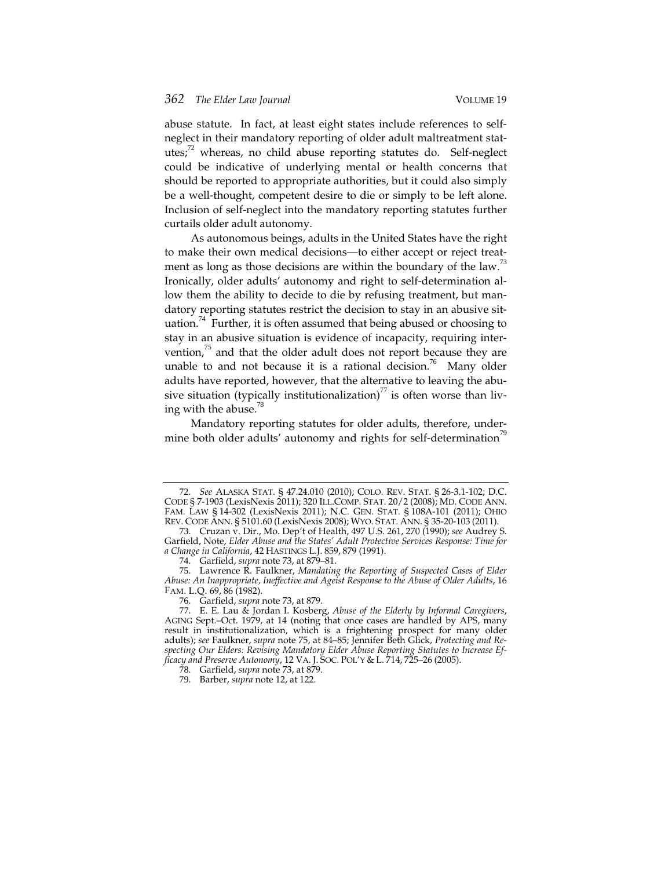abuse statute. In fact, at least eight states include references to selfneglect in their mandatory reporting of older adult maltreatment statutes;<sup>72</sup> whereas, no child abuse reporting statutes do. Self-neglect could be indicative of underlying mental or health concerns that should be reported to appropriate authorities, but it could also simply be a well-thought, competent desire to die or simply to be left alone. Inclusion of self-neglect into the mandatory reporting statutes further curtails older adult autonomy.

As autonomous beings, adults in the United States have the right to make their own medical decisions—to either accept or reject treatment as long as those decisions are within the boundary of the law.<sup>73</sup> Ironically, older adults' autonomy and right to self-determination allow them the ability to decide to die by refusing treatment, but mandatory reporting statutes restrict the decision to stay in an abusive situation.<sup>74</sup> Further, it is often assumed that being abused or choosing to stay in an abusive situation is evidence of incapacity, requiring intervention, $^{75}$  and that the older adult does not report because they are unable to and not because it is a rational decision.<sup>76</sup> Many older adults have reported, however, that the alternative to leaving the abusive situation (typically institutionalization)<sup>77</sup> is often worse than living with the abuse.<sup>78</sup>

Mandatory reporting statutes for older adults, therefore, undermine both older adults' autonomy and rights for self-determination<sup>19</sup>

<sup>72</sup>. *See* ALASKA STAT. § 47.24.010 (2010); COLO. REV. STAT. § 26-3.1-102; D.C. CODE § 7-1903 (LexisNexis 2011); 320 ILL.COMP. STAT. 20/2 (2008); MD. CODE ANN. FAM. LAW § 14-302 (LexisNexis 2011); N.C. GEN. STAT. § 108A-101 (2011); OHIO REV. CODE ANN. § 5101.60 (LexisNexis 2008); WYO. STAT. ANN. § 35-20-103 (2011).

<sup>73</sup>. Cruzan v. Dir., Mo. Dep't of Health, 497 U.S. 261, 270 (1990); *see* Audrey S. Garfield, Note, *Elder Abuse and the States' Adult Protective Services Response: Time for a Change in California*, 42 HASTINGS L.J. 859, 879 (1991).

<sup>74</sup>. Garfield, *supra* note 73, at 879–81.

<sup>75</sup>. Lawrence R. Faulkner, *Mandating the Reporting of Suspected Cases of Elder Abuse: An Inappropriate, Ineffective and Ageist Response to the Abuse of Older Adults*, 16 FAM. L.Q. 69, 86 (1982).

<sup>76</sup>. Garfield, *supra* note 73, at 879.

<sup>77</sup>. E. E. Lau & Jordan I. Kosberg, *Abuse of the Elderly by Informal Caregivers*, AGING Sept.–Oct. 1979, at 14 (noting that once cases are handled by APS, many result in institutionalization, which is a frightening prospect for many older adults); *see* Faulkner, *supra* note 75, at 84–85; Jennifer Beth Glick, *Protecting and Respecting Our Elders: Revising Mandatory Elder Abuse Reporting Statutes to Increase Efficacy and Preserve Autonomy*, 12 VA. J. SOC. POL'Y & L. 714, 725–26 (2005).

<sup>78</sup>. Garfield, *supra* note 73, at 879.

<sup>79</sup>. Barber, *supra* note 12, at 122.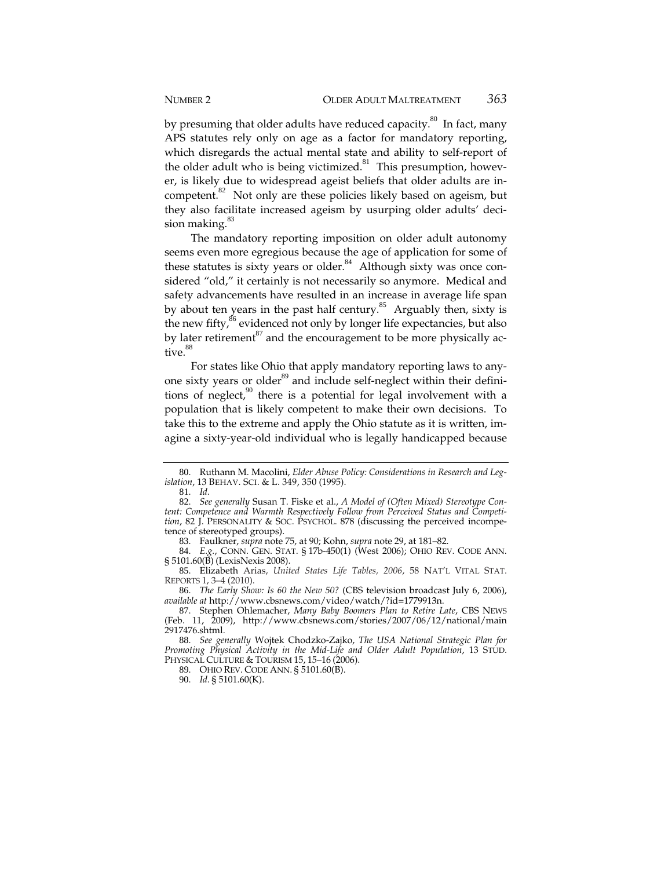by presuming that older adults have reduced capacity. $80$  In fact, many APS statutes rely only on age as a factor for mandatory reporting, which disregards the actual mental state and ability to self-report of the older adult who is being victimized. $81$  This presumption, however, is likely due to widespread ageist beliefs that older adults are incompetent.<sup>82</sup> Not only are these policies likely based on ageism, but they also facilitate increased ageism by usurping older adults' decision making.<sup>83</sup>

The mandatory reporting imposition on older adult autonomy seems even more egregious because the age of application for some of these statutes is sixty years or older.<sup>84</sup> Although sixty was once considered "old," it certainly is not necessarily so anymore. Medical and safety advancements have resulted in an increase in average life span by about ten years in the past half century.<sup>85</sup> Arguably then, sixty is the new fifty,<sup>86</sup> evidenced not only by longer life expectancies, but also by later retirement $^{87}$  and the encouragement to be more physically active.<sup>88</sup>

For states like Ohio that apply mandatory reporting laws to anyone sixty years or older<sup>89</sup> and include self-neglect within their definitions of neglect, $90$  there is a potential for legal involvement with a population that is likely competent to make their own decisions. To take this to the extreme and apply the Ohio statute as it is written, imagine a sixty-year-old individual who is legally handicapped because

83. Faulkner, *supra* note 75, at 90; Kohn, *supra* note 29, at 181–82.

84. *E.g.*, CONN. GEN. STAT. § 17b-450(1) (West 2006); OHIO REV. CODE ANN. § 5101.60(B) (LexisNexis 2008).

85. Elizabeth Arias, *United States Life Tables, 2006*, 58 NAT'L VITAL STAT. REPORTS 1, 3–4 (2010).

86. *The Early Show: Is 60 the New 50?* (CBS television broadcast July 6, 2006), *available at* http://www.cbsnews.com/video/watch/?id=1779913n.

88. *See generally* Wojtek Chodzko-Zajko, *The USA National Strategic Plan for Promoting Physical Activity in the Mid-Life and Older Adult Population*, 13 STUD. PHYSICAL CULTURE & TOURISM 15, 15-16 (2006).

89. OHIO REV. CODE ANN. § 5101.60(B).

90. *Id.* § 5101.60(K).

<sup>80</sup>. Ruthann M. Macolini, *Elder Abuse Policy: Considerations in Research and Legislation*, 13 BEHAV. SCI. & L. 349, 350 (1995).

<sup>81</sup>. *Id.*

<sup>82</sup>. *See generally* Susan T. Fiske et al., *A Model of (Often Mixed) Stereotype Content: Competence and Warmth Respectively Follow from Perceived Status and Competition*, 82 J. PERSONALITY & SOC. PSYCHOL. 878 (discussing the perceived incompetence of stereotyped groups).

<sup>87</sup>. Stephen Ohlemacher, *Many Baby Boomers Plan to Retire Late*, CBS NEWS (Feb. 11, 2009), http://www.cbsnews.com/stories/2007/06/12/national/main 2917476.shtml.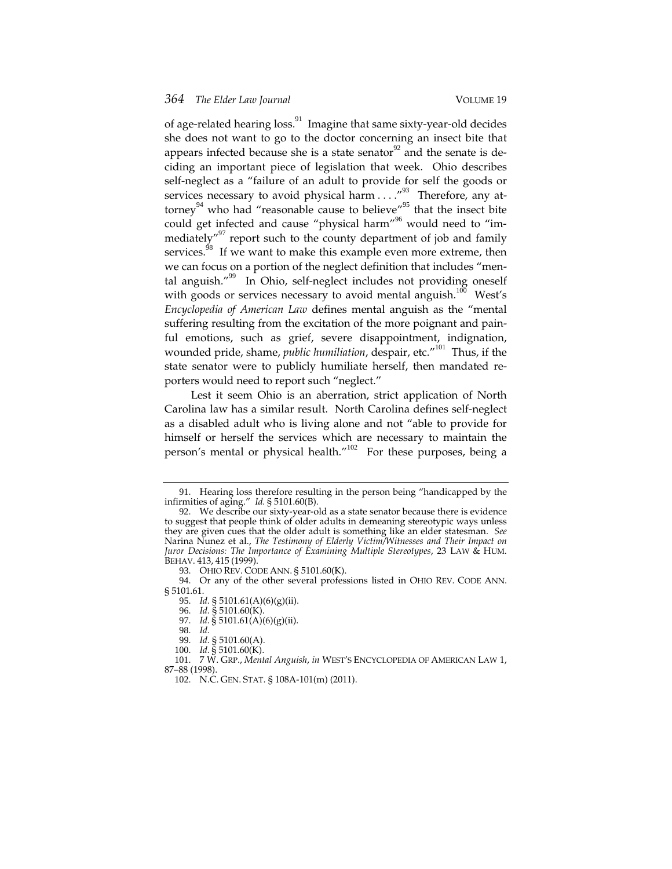of age-related hearing loss.<sup>91</sup> Imagine that same sixty-year-old decides she does not want to go to the doctor concerning an insect bite that appears infected because she is a state senator<sup>92</sup> and the senate is deciding an important piece of legislation that week. Ohio describes self-neglect as a "failure of an adult to provide for self the goods or services necessary to avoid physical harm . . . . "<sup>93</sup> Therefore, any attorney<sup>94</sup> who had "reasonable cause to believe"<sup>95</sup> that the insect bite could get infected and cause "physical harm"<sup>96</sup> would need to "immediately"<sup>97</sup> report such to the county department of job and family services.<sup>98</sup> If we want to make this example even more extreme, then we can focus on a portion of the neglect definition that includes "mental anguish."<sup>99</sup> In Ohio, self-neglect includes not providing oneself with goods or services necessary to avoid mental anguish.<sup>100</sup> West's *Encyclopedia of American Law* defines mental anguish as the "mental suffering resulting from the excitation of the more poignant and painful emotions, such as grief, severe disappointment, indignation, wounded pride, shame, *public humiliation*, despair, etc."<sup>101</sup> Thus, if the state senator were to publicly humiliate herself, then mandated reporters would need to report such "neglect."

Lest it seem Ohio is an aberration, strict application of North Carolina law has a similar result. North Carolina defines self-neglect as a disabled adult who is living alone and not "able to provide for himself or herself the services which are necessary to maintain the person's mental or physical health."<sup>102</sup> For these purposes, being a

<sup>91</sup>. Hearing loss therefore resulting in the person being "handicapped by the infirmities of aging." *Id.* § 5101.60(B).

<sup>92</sup>. We describe our sixty-year-old as a state senator because there is evidence to suggest that people think of older adults in demeaning stereotypic ways unless they are given cues that the older adult is something like an elder statesman. *See*  Narina Nunez et al., *The Testimony of Elderly Victim/Witnesses and Their Impact on Juror Decisions: The Importance of Examining Multiple Stereotypes*, 23 LAW & HUM. BEHAV. 413, 415 (1999).

<sup>93</sup>. OHIO REV. CODE ANN. § 5101.60(K).

<sup>94</sup>. Or any of the other several professions listed in OHIO REV. CODE ANN. § 5101.61.

<sup>95</sup>. *Id.* § 5101.61(A)(6)(g)(ii).

<sup>96</sup>. *Id.* § 5101.60(K).

<sup>97</sup>. *Id.* § 5101.61(A)(6)(g)(ii).

<sup>98</sup>. *Id.*

<sup>99</sup>. *Id.* § 5101.60(A).

<sup>100</sup>. *Id.* § 5101.60(K).

<sup>101</sup>. 7 W. GRP., *Mental Anguish*, *in* WEST'S ENCYCLOPEDIA OF AMERICAN LAW 1, 87–88 (1998).

<sup>102</sup>. N.C. GEN. STAT. § 108A-101(m) (2011).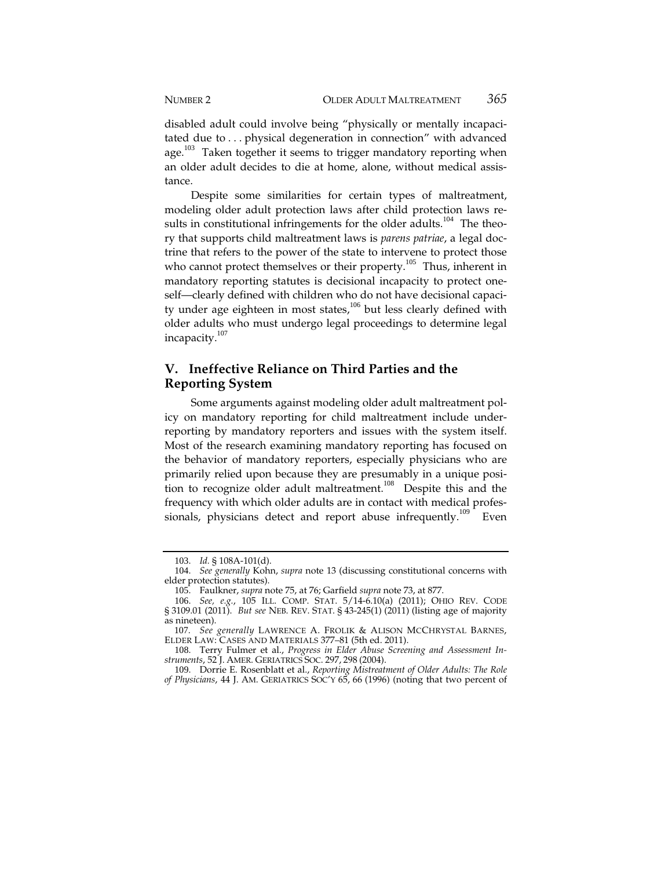disabled adult could involve being "physically or mentally incapacitated due to . . . physical degeneration in connection" with advanced age.<sup>103</sup> Taken together it seems to trigger mandatory reporting when an older adult decides to die at home, alone, without medical assistance.

Despite some similarities for certain types of maltreatment, modeling older adult protection laws after child protection laws results in constitutional infringements for the older adults.<sup>104</sup> The theory that supports child maltreatment laws is *parens patriae*, a legal doctrine that refers to the power of the state to intervene to protect those who cannot protect themselves or their property.<sup>105</sup> Thus, inherent in mandatory reporting statutes is decisional incapacity to protect oneself—clearly defined with children who do not have decisional capacity under age eighteen in most states,<sup>106</sup> but less clearly defined with older adults who must undergo legal proceedings to determine legal incapacity.<sup>107</sup>

## **V. Ineffective Reliance on Third Parties and the Reporting System**

Some arguments against modeling older adult maltreatment policy on mandatory reporting for child maltreatment include underreporting by mandatory reporters and issues with the system itself. Most of the research examining mandatory reporting has focused on the behavior of mandatory reporters, especially physicians who are primarily relied upon because they are presumably in a unique position to recognize older adult maltreatment.<sup>108</sup> Despite this and the frequency with which older adults are in contact with medical professionals, physicians detect and report abuse infrequently.<sup>109</sup> Even

<sup>103</sup>. *Id.* § 108A-101(d).

<sup>104</sup>. *See generally* Kohn, *supra* note 13 (discussing constitutional concerns with elder protection statutes).

<sup>105</sup>. Faulkner, *supra* note 75, at 76; Garfield *supra* note 73, at 877.

<sup>106</sup>. *See, e.g.*, 105 ILL. COMP. STAT. 5/14-6.10(a) (2011); OHIO REV. CODE § 3109.01 (2011). *But see* NEB. REV. STAT. § 43-245(1) (2011) (listing age of majority as nineteen).

<sup>107</sup>. *See generally* LAWRENCE A. FROLIK & ALISON MCCHRYSTAL BARNES, ELDER LAW: CASES AND MATERIALS 377–81 (5th ed. 2011).

<sup>108</sup>. Terry Fulmer et al., *Progress in Elder Abuse Screening and Assessment Instruments*, 52 J. AMER. GERIATRICS SOC. 297, 298 (2004).

<sup>109</sup>. Dorrie E. Rosenblatt et al., *Reporting Mistreatment of Older Adults: The Role of Physicians*, 44 J. AM. GERIATRICS SOC'Y 65, 66 (1996) (noting that two percent of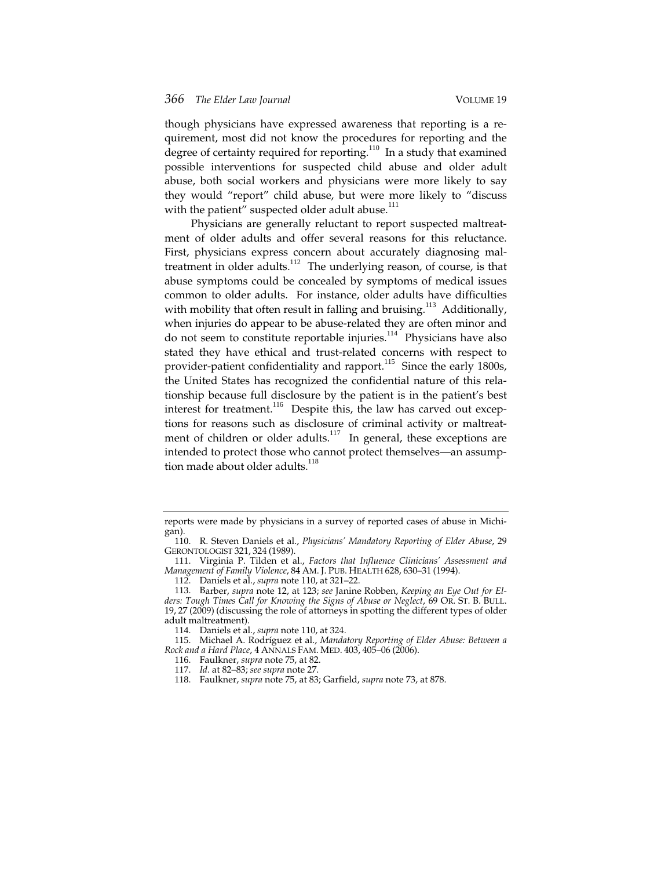though physicians have expressed awareness that reporting is a requirement, most did not know the procedures for reporting and the degree of certainty required for reporting.<sup>110</sup> In a study that examined possible interventions for suspected child abuse and older adult abuse, both social workers and physicians were more likely to say they would "report" child abuse, but were more likely to "discuss with the patient" suspected older adult abuse.<sup>111</sup>

Physicians are generally reluctant to report suspected maltreatment of older adults and offer several reasons for this reluctance. First, physicians express concern about accurately diagnosing maltreatment in older adults.<sup>112</sup> The underlying reason, of course, is that abuse symptoms could be concealed by symptoms of medical issues common to older adults. For instance, older adults have difficulties with mobility that often result in falling and bruising.<sup>113</sup> Additionally, when injuries do appear to be abuse-related they are often minor and do not seem to constitute reportable injuries. $114$  Physicians have also stated they have ethical and trust-related concerns with respect to provider-patient confidentiality and rapport.<sup>115</sup> Since the early 1800s, the United States has recognized the confidential nature of this relationship because full disclosure by the patient is in the patient's best interest for treatment.<sup>116</sup> Despite this, the law has carved out exceptions for reasons such as disclosure of criminal activity or maltreatment of children or older adults.<sup>117</sup> In general, these exceptions are intended to protect those who cannot protect themselves—an assumption made about older adults.<sup>118</sup>

reports were made by physicians in a survey of reported cases of abuse in Michigan).

<sup>110</sup>. R. Steven Daniels et al., *Physicians' Mandatory Reporting of Elder Abuse*, 29 GERONTOLOGIST 321, 324 (1989).

<sup>111</sup>. Virginia P. Tilden et al., *Factors that Influence Clinicians' Assessment and Management of Family Violence*, 84 AM. J. PUB. HEALTH 628, 630–31 (1994).

<sup>112</sup>. Daniels et al., *supra* note 110, at 321–22.

<sup>113</sup>. Barber, *supra* note 12, at 123; *see* Janine Robben, *Keeping an Eye Out for Elders: Tough Times Call for Knowing the Signs of Abuse or Neglect*, 69 OR. ST. B. BULL. 19, 27 (2009) (discussing the role of attorneys in spotting the different types of older adult maltreatment).

<sup>114</sup>. Daniels et al., *supra* note 110, at 324.

<sup>115</sup>. Michael A. Rodríguez et al., *Mandatory Reporting of Elder Abuse: Between a Rock and a Hard Place*, 4 ANNALS FAM. MED. 403, 405–06 (2006).

<sup>116</sup>. Faulkner, *supra* note 75, at 82.

<sup>117</sup>. *Id.* at 82–83; *see supra* note 27.

<sup>118</sup>. Faulkner, *supra* note 75, at 83; Garfield, *supra* note 73, at 878.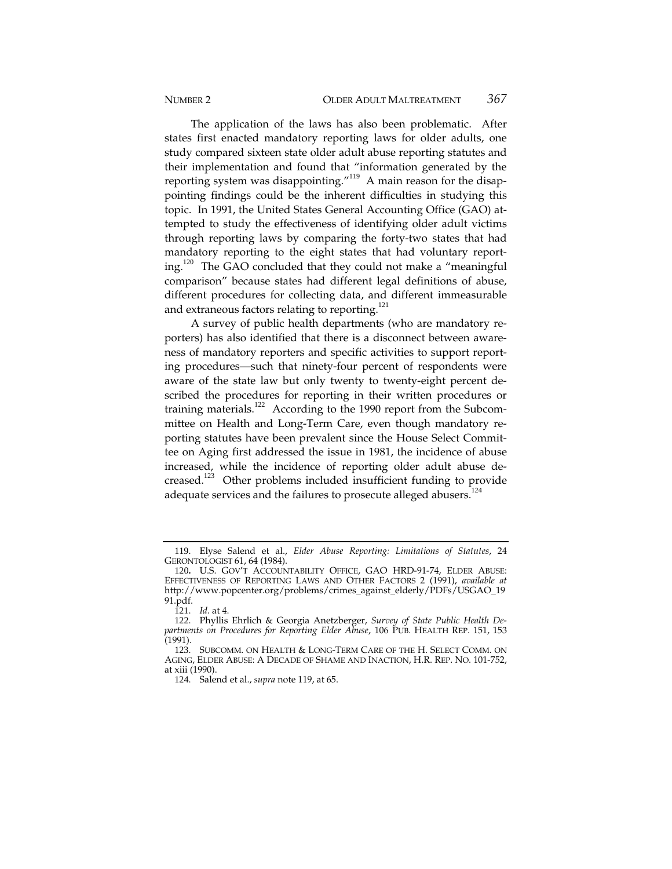The application of the laws has also been problematic. After states first enacted mandatory reporting laws for older adults, one study compared sixteen state older adult abuse reporting statutes and their implementation and found that "information generated by the reporting system was disappointing." $119$  A main reason for the disappointing findings could be the inherent difficulties in studying this topic. In 1991, the United States General Accounting Office (GAO) attempted to study the effectiveness of identifying older adult victims through reporting laws by comparing the forty-two states that had mandatory reporting to the eight states that had voluntary reporting.<sup>120</sup> The GAO concluded that they could not make a "meaningful" comparison" because states had different legal definitions of abuse, different procedures for collecting data, and different immeasurable and extraneous factors relating to reporting.<sup>121</sup>

A survey of public health departments (who are mandatory reporters) has also identified that there is a disconnect between awareness of mandatory reporters and specific activities to support reporting procedures—such that ninety-four percent of respondents were aware of the state law but only twenty to twenty-eight percent described the procedures for reporting in their written procedures or training materials.<sup>122</sup> According to the 1990 report from the Subcommittee on Health and Long-Term Care, even though mandatory reporting statutes have been prevalent since the House Select Committee on Aging first addressed the issue in 1981, the incidence of abuse increased, while the incidence of reporting older adult abuse decreased.<sup>123</sup> Other problems included insufficient funding to provide adequate services and the failures to prosecute alleged abusers.<sup>124</sup>

<sup>119</sup>. Elyse Salend et al., *Elder Abuse Reporting: Limitations of Statutes*, 24 GERONTOLOGIST 61, 64 (1984).

<sup>120</sup>**.** U.S. GOV'T ACCOUNTABILITY OFFICE, GAO HRD-91-74, ELDER ABUSE: EFFECTIVENESS OF REPORTING LAWS AND OTHER FACTORS 2 (1991), *available at* http://www.popcenter.org/problems/crimes\_against\_elderly/PDFs/USGAO\_19 91.pdf.

<sup>121</sup>. *Id.* at 4.

<sup>122</sup>. Phyllis Ehrlich & Georgia Anetzberger, *Survey of State Public Health Departments on Procedures for Reporting Elder Abuse*, 106 PUB. HEALTH REP. 151, 153 (1991).

<sup>123</sup>. SUBCOMM. ON HEALTH & LONG-TERM CARE OF THE H. SELECT COMM. ON AGING, ELDER ABUSE: A DECADE OF SHAME AND INACTION, H.R. REP. NO. 101-752, at xiii (1990).

<sup>124</sup>. Salend et al., *supra* note 119, at 65.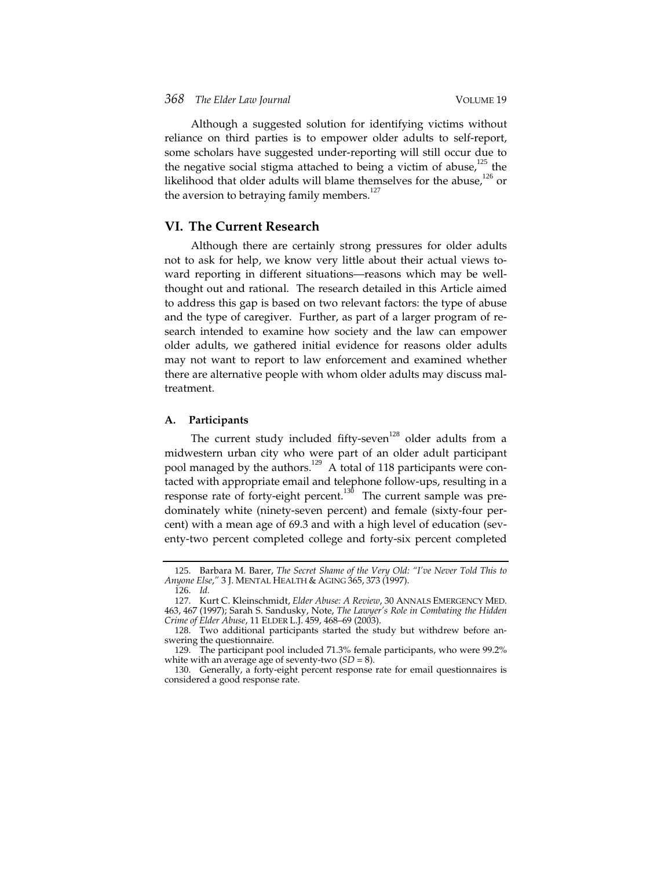Although a suggested solution for identifying victims without reliance on third parties is to empower older adults to self-report, some scholars have suggested under-reporting will still occur due to the negative social stigma attached to being a victim of abuse,<sup>125</sup> the likelihood that older adults will blame themselves for the abuse, $126$  or the aversion to betraying family members. $127$ 

#### **VI. The Current Research**

Although there are certainly strong pressures for older adults not to ask for help, we know very little about their actual views toward reporting in different situations—reasons which may be wellthought out and rational. The research detailed in this Article aimed to address this gap is based on two relevant factors: the type of abuse and the type of caregiver. Further, as part of a larger program of research intended to examine how society and the law can empower older adults, we gathered initial evidence for reasons older adults may not want to report to law enforcement and examined whether there are alternative people with whom older adults may discuss maltreatment.

#### **A. Participants**

The current study included fifty-seven<sup>128</sup> older adults from a midwestern urban city who were part of an older adult participant pool managed by the authors.<sup>129</sup> A total of 118 participants were contacted with appropriate email and telephone follow-ups, resulting in a response rate of forty-eight percent.<sup>130</sup> The current sample was predominately white (ninety-seven percent) and female (sixty-four percent) with a mean age of 69.3 and with a high level of education (seventy-two percent completed college and forty-six percent completed

<sup>125</sup>. Barbara M. Barer, *The Secret Shame of the Very Old: "I've Never Told This to Anyone Else*,*"* 3 J. MENTAL HEALTH & AGING 365, 373 (1997).

<sup>126</sup>. *Id.*

<sup>127</sup>. Kurt C. Kleinschmidt, *Elder Abuse: A Review*, 30 ANNALS EMERGENCY MED. 463, 467 (1997); Sarah S. Sandusky, Note, *The Lawyer's Role in Combating the Hidden Crime of Elder Abuse*, 11 ELDER L.J. 459, 468–69 (2003).

<sup>128</sup>. Two additional participants started the study but withdrew before answering the questionnaire.

<sup>129</sup>. The participant pool included 71.3% female participants, who were 99.2% white with an average age of seventy-two (*SD* = 8).

<sup>130</sup>. Generally, a forty-eight percent response rate for email questionnaires is considered a good response rate.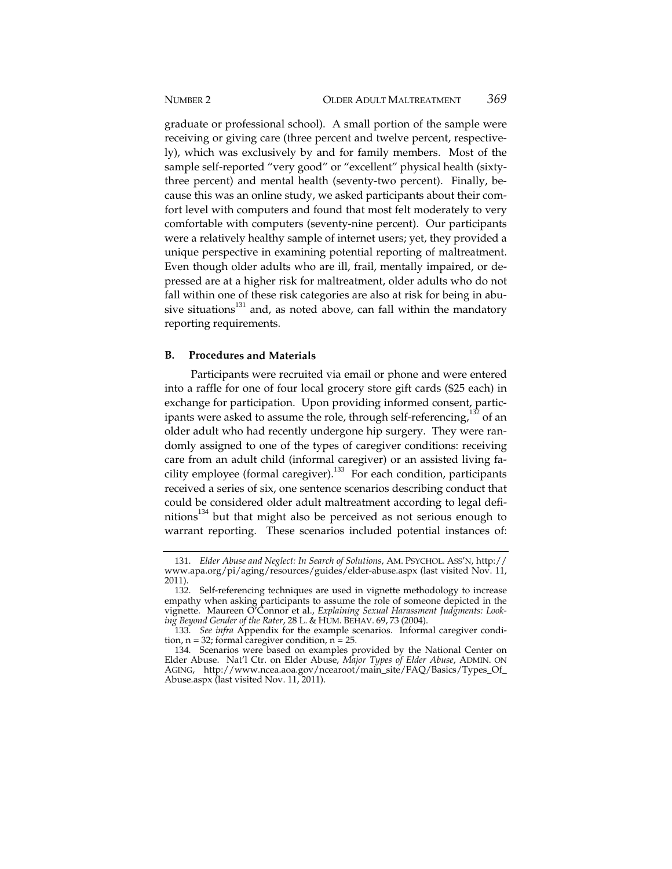graduate or professional school). A small portion of the sample were receiving or giving care (three percent and twelve percent, respectively), which was exclusively by and for family members. Most of the sample self-reported "very good" or "excellent" physical health (sixtythree percent) and mental health (seventy-two percent). Finally, because this was an online study, we asked participants about their comfort level with computers and found that most felt moderately to very comfortable with computers (seventy-nine percent). Our participants were a relatively healthy sample of internet users; yet, they provided a unique perspective in examining potential reporting of maltreatment. Even though older adults who are ill, frail, mentally impaired, or depressed are at a higher risk for maltreatment, older adults who do not fall within one of these risk categories are also at risk for being in abusive situations $131$  and, as noted above, can fall within the mandatory reporting requirements.

#### **B. Procedures and Materials**

Participants were recruited via email or phone and were entered into a raffle for one of four local grocery store gift cards (\$25 each) in exchange for participation. Upon providing informed consent, participants were asked to assume the role, through self-referencing, $132$  of an older adult who had recently undergone hip surgery. They were randomly assigned to one of the types of caregiver conditions: receiving care from an adult child (informal caregiver) or an assisted living facility employee (formal caregiver).<sup>133</sup> For each condition, participants received a series of six, one sentence scenarios describing conduct that could be considered older adult maltreatment according to legal defi $n$ itions<sup>134</sup> but that might also be perceived as not serious enough to warrant reporting. These scenarios included potential instances of:

<sup>131</sup>. *Elder Abuse and Neglect: In Search of Solutions*, AM. PSYCHOL. ASS'N, http:// www.apa.org/pi/aging/resources/guides/elder-abuse.aspx (last visited Nov. 11, 2011).

<sup>132</sup>. Self-referencing techniques are used in vignette methodology to increase empathy when asking participants to assume the role of someone depicted in the vignette. Maureen O'Connor et al., *Explaining Sexual Harassment Judgments: Looking Beyond Gender of the Rater*, 28 L. & HUM. BEHAV. 69, 73 (2004).

<sup>133</sup>. *See infra* Appendix for the example scenarios. Informal caregiver condition,  $n = 32$ ; formal caregiver condition,  $n = 25$ .

<sup>134</sup>. Scenarios were based on examples provided by the National Center on Elder Abuse. Nat'l Ctr. on Elder Abuse, *Major Types of Elder Abuse*, ADMIN. ON AGING, http://www.ncea.aoa.gov/ncearoot/main\_site/FAQ/Basics/Types\_Of\_ Abuse.aspx (last visited Nov. 11, 2011).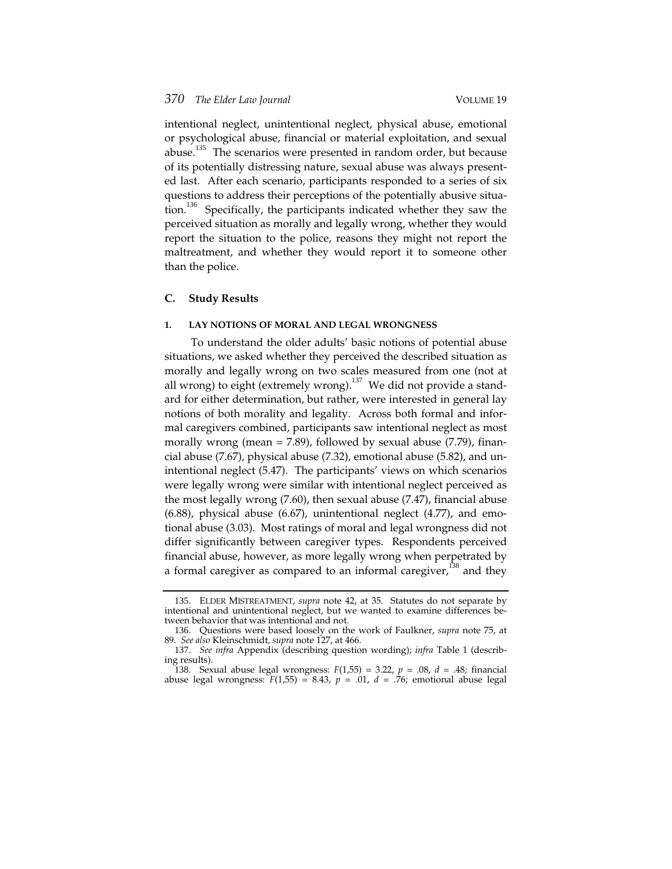intentional neglect, unintentional neglect, physical abuse, emotional or psychological abuse, financial or material exploitation, and sexual abuse.<sup>135</sup> The scenarios were presented in random order, but because of its potentially distressing nature, sexual abuse was always presented last. After each scenario, participants responded to a series of six questions to address their perceptions of the potentially abusive situation.<sup>136</sup> Specifically, the participants indicated whether they saw the perceived situation as morally and legally wrong, whether they would report the situation to the police, reasons they might not report the maltreatment, and whether they would report it to someone other than the police.

#### **C. Study Results**

#### **1. LAY NOTIONS OF MORAL AND LEGAL WRONGNESS**

To understand the older adults' basic notions of potential abuse situations, we asked whether they perceived the described situation as morally and legally wrong on two scales measured from one (not at all wrong) to eight (extremely wrong).<sup>137</sup> We did not provide a standard for either determination, but rather, were interested in general lay notions of both morality and legality. Across both formal and informal caregivers combined, participants saw intentional neglect as most morally wrong (mean  $= 7.89$ ), followed by sexual abuse (7.79), financial abuse (7.67), physical abuse (7.32), emotional abuse (5.82), and unintentional neglect (5.47). The participants' views on which scenarios were legally wrong were similar with intentional neglect perceived as the most legally wrong (7.60), then sexual abuse (7.47), financial abuse (6.88), physical abuse (6.67), unintentional neglect (4.77), and emotional abuse (3.03). Most ratings of moral and legal wrongness did not differ significantly between caregiver types. Respondents perceived financial abuse, however, as more legally wrong when perpetrated by a formal caregiver as compared to an informal caregiver, $138$  and they

<sup>135</sup>. ELDER MISTREATMENT, *supra* note 42, at 35. Statutes do not separate by intentional and unintentional neglect, but we wanted to examine differences between behavior that was intentional and not.

<sup>136</sup>. Questions were based loosely on the work of Faulkner, *supra* note 75, at 89. *See also* Kleinschmidt, *supra* note 127, at 466.

<sup>137</sup>. *See infra* Appendix (describing question wording); *infra* Table 1 (describing results).

<sup>138</sup>. Sexual abuse legal wrongness: *F*(1,55) = 3.22, *p* = .08, *d* = .48; financial abuse legal wrongness:  $F(1,55) = 8.43$ ,  $p = .01$ ,  $d = .76$ ; emotional abuse legal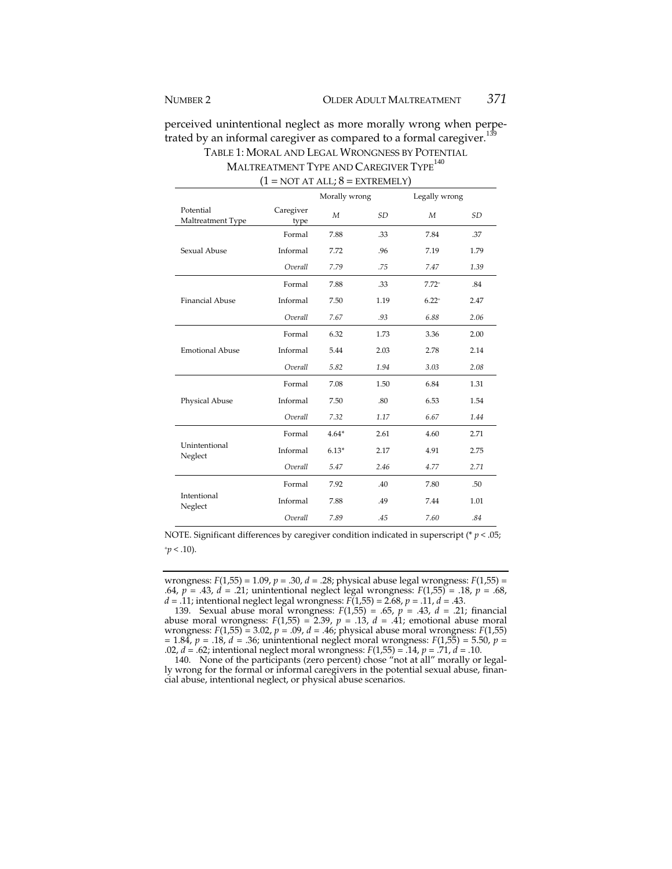perceived unintentional neglect as more morally wrong when perpetrated by an informal caregiver as compared to a formal caregiver.<sup>139</sup> TABLE 1: MORAL AND LEGAL WRONGNESS BY POTENTIAL

MALTREATMENT TYPE AND CAREGIVER TYPE<sup>140</sup>  $(1 = NOT AT ALL; 8 = EXTREMELY)$ 

|                                |                   | Morally wrong    |           | Legally wrong |           |
|--------------------------------|-------------------|------------------|-----------|---------------|-----------|
| Potential<br>Maltreatment Type | Caregiver<br>type | $\boldsymbol{M}$ | <b>SD</b> | M             | <b>SD</b> |
| Sexual Abuse                   | Formal            | 7.88             | .33       | 7.84          | .37       |
|                                | Informal          | 7.72             | .96       | 7.19          | 1.79      |
|                                | Overall           | 7.79             | .75       | 7.47          | 1.39      |
| <b>Financial Abuse</b>         | Formal            | 7.88             | .33       | $7.72+$       | .84       |
|                                | Informal          | 7.50             | 1.19      | $6.22^{+}$    | 2.47      |
|                                | Overall           | 7.67             | .93       | 6.88          | 2.06      |
|                                | Formal            | 6.32             | 1.73      | 3.36          | 2.00      |
| <b>Emotional Abuse</b>         | Informal          | 5.44             | 2.03      | 2.78          | 2.14      |
|                                | Overall           | 5.82             | 1.94      | 3.03          | 2.08      |
| Physical Abuse                 | Formal            | 7.08             | 1.50      | 6.84          | 1.31      |
|                                | Informal          | 7.50             | .80       | 6.53          | 1.54      |
|                                | Overall           | 7.32             | 1.17      | 6.67          | 1.44      |
| Unintentional<br>Neglect       | Formal            | $4.64*$          | 2.61      | 4.60          | 2.71      |
|                                | Informal          | $6.13*$          | 2.17      | 4.91          | 2.75      |
|                                | Overall           | 5.47             | 2.46      | 4.77          | 2.71      |
| Intentional<br>Neglect         | Formal            | 7.92             | .40       | 7.80          | .50       |
|                                | Informal          | 7.88             | .49       | 7.44          | 1.01      |
|                                | Overall           | 7.89             | .45       | 7.60          | .84       |

NOTE. Significant differences by caregiver condition indicated in superscript (\* *p* < .05;  $+p < .10$ ).

wrongness: *F*(1,55) = 1.09, *p* = .30, *d* = .28; physical abuse legal wrongness: *F*(1,55) = .64, *p* = .43, *d* = .21; unintentional neglect legal wrongness: *F*(1,55) = .18, *p* = .68, *d* = .11; intentional neglect legal wrongness: *F*(1,55) = 2.68, *p* = .11, *d* = .43.

139. Sexual abuse moral wrongness: *F*(1,55) = .65, *p* = .43, *d* = .21; financial abuse moral wrongness:  $F(1,55) = 2.39$ ,  $p = .13$ ,  $d = .41$ ; emotional abuse moral wrongness: *F*(1,55) = 3.02, *p* = .09, *d* = .46; physical abuse moral wrongness: *F*(1,55) = 1.84, *p* = .18, *d* = .36; unintentional neglect moral wrongness: *F*(1,55) = 5.50, *p* = .02, *d* = .62; intentional neglect moral wrongness: *F*(1,55) = .14, *p* = .71, *d* = .10.

140. None of the participants (zero percent) chose "not at all" morally or legally wrong for the formal or informal caregivers in the potential sexual abuse, financial abuse, intentional neglect, or physical abuse scenarios.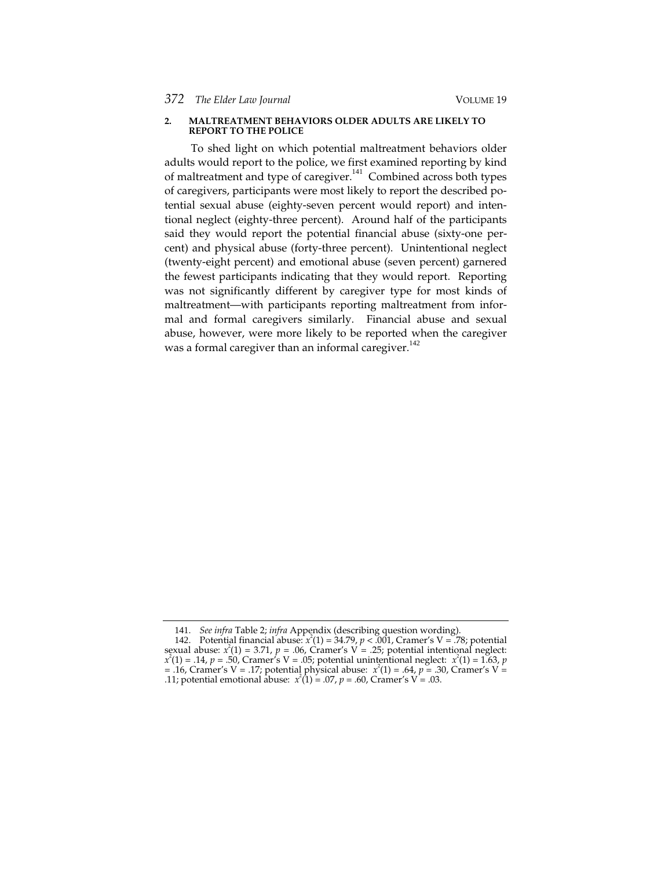#### **2. MALTREATMENT BEHAVIORS OLDER ADULTS ARE LIKELY TO REPORT TO THE POLICE**

To shed light on which potential maltreatment behaviors older adults would report to the police, we first examined reporting by kind of maltreatment and type of caregiver.<sup>141</sup> Combined across both types of caregivers, participants were most likely to report the described potential sexual abuse (eighty-seven percent would report) and intentional neglect (eighty-three percent). Around half of the participants said they would report the potential financial abuse (sixty-one percent) and physical abuse (forty-three percent). Unintentional neglect (twenty-eight percent) and emotional abuse (seven percent) garnered the fewest participants indicating that they would report. Reporting was not significantly different by caregiver type for most kinds of maltreatment—with participants reporting maltreatment from informal and formal caregivers similarly. Financial abuse and sexual abuse, however, were more likely to be reported when the caregiver was a formal caregiver than an informal caregiver.<sup>142</sup>

<sup>141</sup>. *See infra* Table 2; *infra* Appendix (describing question wording).

<sup>142.</sup> Potential financial abuse:  $x^2(1) = 34.79$ ,  $p < 0.001$ , Cramer's V = .78; potential sexual abuse:  $x^2(1) = 3.71$ ,  $p = .06$ , Cramer's V = .25; potential intentional neglect: *x* 2 (1) = .14, *p* = .50, Cramer's V = .05; potential unintentional neglect: *x* 2 (1) = 1.63, *p* = .16, Cramer's V = .17; potential physical abuse:  $x^2(1) = .64$ ,  $p = .30$ , Cramer's V = ... .11; potential emotional abuse: *x* (1) = .07, *p* = .60, Cramer's V = .03.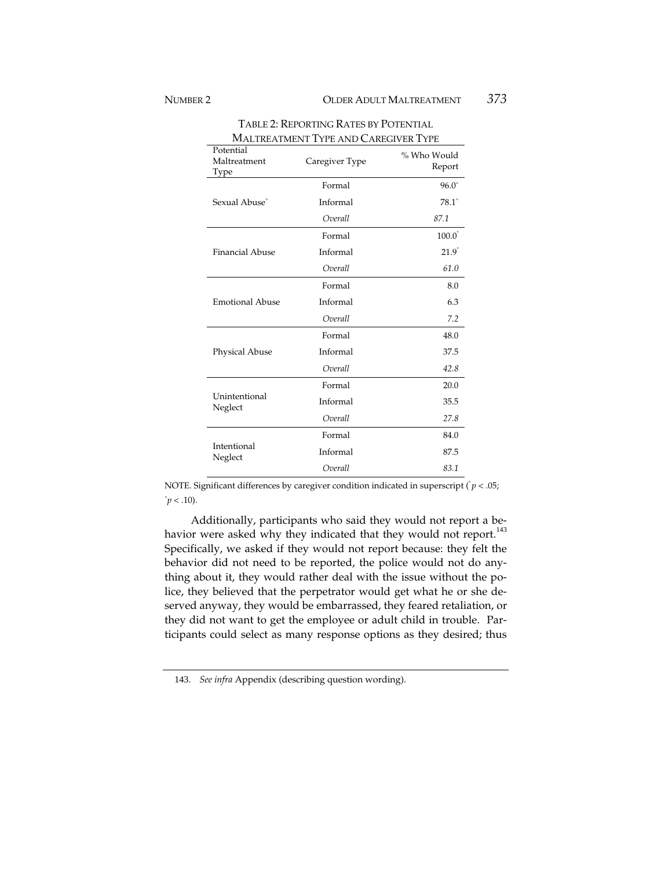| Potential<br>Maltreatment<br>Type | Caregiver Type | % Who Would<br>Report |  |
|-----------------------------------|----------------|-----------------------|--|
|                                   | Formal         | $96.0^+$              |  |
| Sexual Abuse <sup>+</sup>         | Informal       | $78.1^*$              |  |
|                                   | Overall        | 87.1                  |  |
|                                   | Formal         | $100.0^{\degree}$     |  |
| Financial Abuse                   | Informal       | $21.9^{\degree}$      |  |
|                                   | Overall        | 61.0                  |  |
|                                   | Formal         | 8.0                   |  |
| Emotional Abuse                   | Informal       | 6.3                   |  |
|                                   | Overall        | 7.2                   |  |
| Physical Abuse                    | Formal         | 48.0                  |  |
|                                   | Informal       | 37.5                  |  |
|                                   | Overall        | 42.8                  |  |
|                                   | Formal         | 20.0                  |  |
| Unintentional<br>Neglect          | Informal       | 35.5                  |  |
|                                   | Overall        | 27.8                  |  |
|                                   | Formal         | 84.0                  |  |
| Intentional<br>Neglect            | Informal       | 87.5                  |  |
|                                   | Overall        | 83.1                  |  |

TABLE 2: REPORTING RATES BY POTENTIAL MALTREATMENT TYPE AND CAREGIVER TYPE

NOTE. Significant differences by caregiver condition indicated in superscript  $\dot{p} < .05$ ;  $p < .10$ ).

Additionally, participants who said they would not report a behavior were asked why they indicated that they would not report.<sup>143</sup> Specifically, we asked if they would not report because: they felt the behavior did not need to be reported, the police would not do anything about it, they would rather deal with the issue without the police, they believed that the perpetrator would get what he or she deserved anyway, they would be embarrassed, they feared retaliation, or they did not want to get the employee or adult child in trouble. Participants could select as many response options as they desired; thus

<sup>143</sup>. *See infra* Appendix (describing question wording).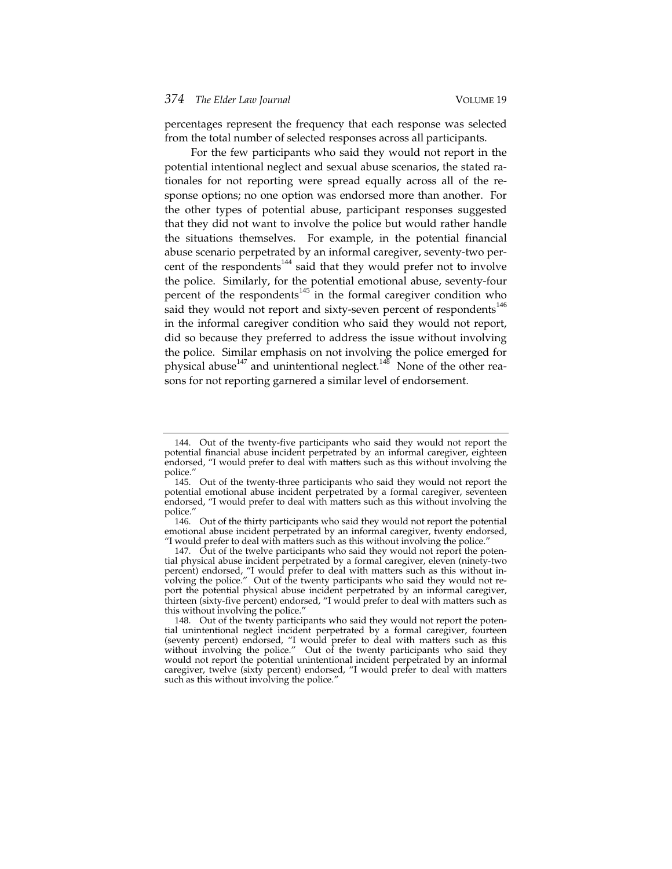percentages represent the frequency that each response was selected from the total number of selected responses across all participants.

For the few participants who said they would not report in the potential intentional neglect and sexual abuse scenarios, the stated rationales for not reporting were spread equally across all of the response options; no one option was endorsed more than another. For the other types of potential abuse, participant responses suggested that they did not want to involve the police but would rather handle the situations themselves. For example, in the potential financial abuse scenario perpetrated by an informal caregiver, seventy-two percent of the respondents<sup>144</sup> said that they would prefer not to involve the police. Similarly, for the potential emotional abuse, seventy-four percent of the respondents $145$  in the formal caregiver condition who said they would not report and sixty-seven percent of respondents<sup>146</sup> in the informal caregiver condition who said they would not report, did so because they preferred to address the issue without involving the police. Similar emphasis on not involving the police emerged for physical abuse<sup>147</sup> and unintentional neglect.<sup>148</sup> None of the other reasons for not reporting garnered a similar level of endorsement.

<sup>144</sup>. Out of the twenty-five participants who said they would not report the potential financial abuse incident perpetrated by an informal caregiver, eighteen endorsed, "I would prefer to deal with matters such as this without involving the police."

<sup>145</sup>. Out of the twenty-three participants who said they would not report the potential emotional abuse incident perpetrated by a formal caregiver, seventeen endorsed, "I would prefer to deal with matters such as this without involving the police.'

<sup>146</sup>. Out of the thirty participants who said they would not report the potential emotional abuse incident perpetrated by an informal caregiver, twenty endorsed, "I would prefer to deal with matters such as this without involving the police."

<sup>147</sup>. Out of the twelve participants who said they would not report the potential physical abuse incident perpetrated by a formal caregiver, eleven (ninety-two percent) endorsed, "I would prefer to deal with matters such as this without involving the police." Out of the twenty participants who said they would not report the potential physical abuse incident perpetrated by an informal caregiver, thirteen (sixty-five percent) endorsed, "I would prefer to deal with matters such as this without involving the police."

<sup>148</sup>. Out of the twenty participants who said they would not report the potential unintentional neglect incident perpetrated by a formal caregiver, fourteen (seventy percent) endorsed, "I would prefer to deal with matters such as this without involving the police." Out of the twenty participants who said they would not report the potential unintentional incident perpetrated by an informal caregiver, twelve (sixty percent) endorsed, "I would prefer to deal with matters such as this without involving the police."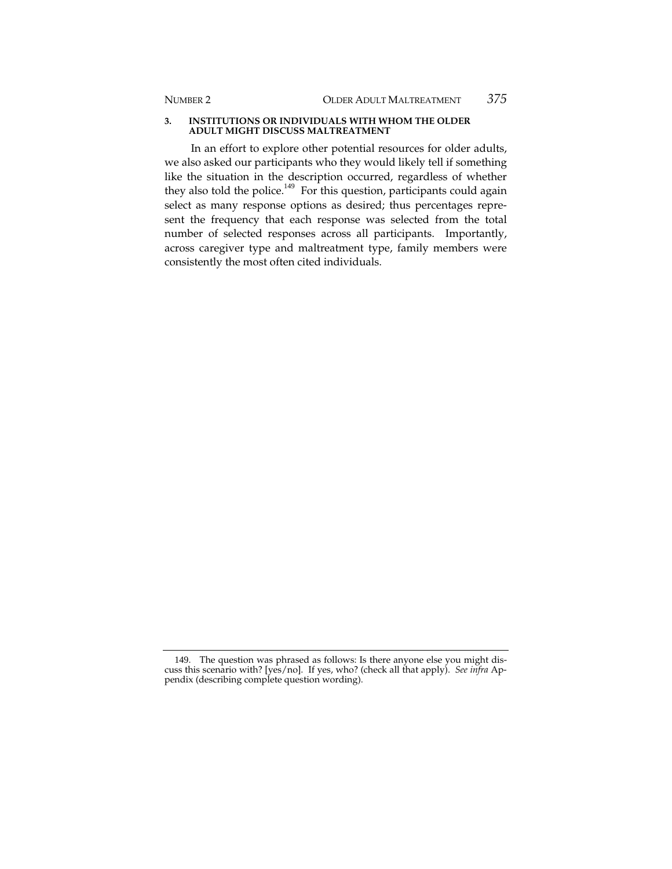#### **3. INSTITUTIONS OR INDIVIDUALS WITH WHOM THE OLDER ADULT MIGHT DISCUSS MALTREATMENT**

In an effort to explore other potential resources for older adults, we also asked our participants who they would likely tell if something like the situation in the description occurred, regardless of whether they also told the police.<sup>149</sup> For this question, participants could again select as many response options as desired; thus percentages represent the frequency that each response was selected from the total number of selected responses across all participants. Importantly, across caregiver type and maltreatment type, family members were consistently the most often cited individuals.

<sup>149</sup>. The question was phrased as follows: Is there anyone else you might discuss this scenario with? [yes/no]. If yes, who? (check all that apply). *See infra* Appendix (describing complete question wording).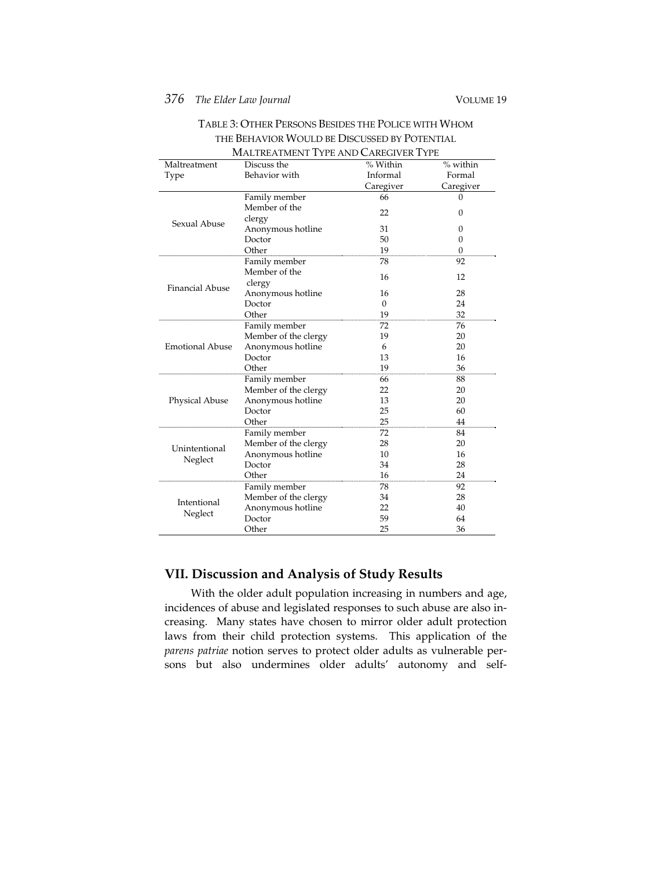## *376 The Elder Law Journal* VOLUME 19

| MALTREATMENT TYPE AND CAREGIVER TYPE |                      |           |              |  |  |
|--------------------------------------|----------------------|-----------|--------------|--|--|
| Maltreatment                         | Discuss the          | % Within  | $%$ within   |  |  |
| Type                                 | Behavior with        | Informal  | Formal       |  |  |
|                                      |                      | Caregiver | Caregiver    |  |  |
|                                      | Family member        | 66        | 0            |  |  |
|                                      | Member of the        | 22        | $\Omega$     |  |  |
| Sexual Abuse                         | clergy               |           |              |  |  |
|                                      | Anonymous hotline    | 31        | 0            |  |  |
|                                      | Doctor               | 50        | $\mathbf{0}$ |  |  |
|                                      | Other                | 19        | $\Omega$     |  |  |
|                                      | Family member        | 78        | 92           |  |  |
|                                      | Member of the        | 16        | 12           |  |  |
| <b>Financial Abuse</b>               | clergy               |           |              |  |  |
|                                      | Anonymous hotline    | 16        | 28           |  |  |
|                                      | Doctor               | $\Omega$  | 24           |  |  |
|                                      | Other                | 19        | 32           |  |  |
|                                      | Family member        | 72        | 76           |  |  |
|                                      | Member of the clergy | 19        | 20           |  |  |
| <b>Emotional Abuse</b>               | Anonymous hotline    | 6         | 20           |  |  |
|                                      | Doctor               | 13        | 16           |  |  |
|                                      | Other                | 19        | 36           |  |  |
| Physical Abuse                       | Family member        | 66        | 88           |  |  |
|                                      | Member of the clergy | 22        | 20           |  |  |
|                                      | Anonymous hotline    | 13        | 20           |  |  |
|                                      | Doctor               | 25        | 60           |  |  |
|                                      | Other                | 25        | 44           |  |  |
|                                      | Family member        | 72        | 84           |  |  |
| Unintentional                        | Member of the clergy | 28        | 20           |  |  |
| Neglect                              | Anonymous hotline    | 10        | 16           |  |  |
|                                      | Doctor               | 34        | 28           |  |  |
|                                      | Other                | 16        | 24           |  |  |
| Intentional<br>Neglect               | Family member        | 78        | 92           |  |  |
|                                      | Member of the clergy | 34        | 28           |  |  |
|                                      | Anonymous hotline    | 22        | 40           |  |  |
|                                      | Doctor               | 59        | 64           |  |  |
|                                      | Other                | 25        | 36           |  |  |

## TABLE 3: OTHER PERSONS BESIDES THE POLICE WITH WHOM THE BEHAVIOR WOULD BE DISCUSSED BY POTENTIAL

## **VII. Discussion and Analysis of Study Results**

With the older adult population increasing in numbers and age, incidences of abuse and legislated responses to such abuse are also increasing. Many states have chosen to mirror older adult protection laws from their child protection systems. This application of the *parens patriae* notion serves to protect older adults as vulnerable persons but also undermines older adults' autonomy and self-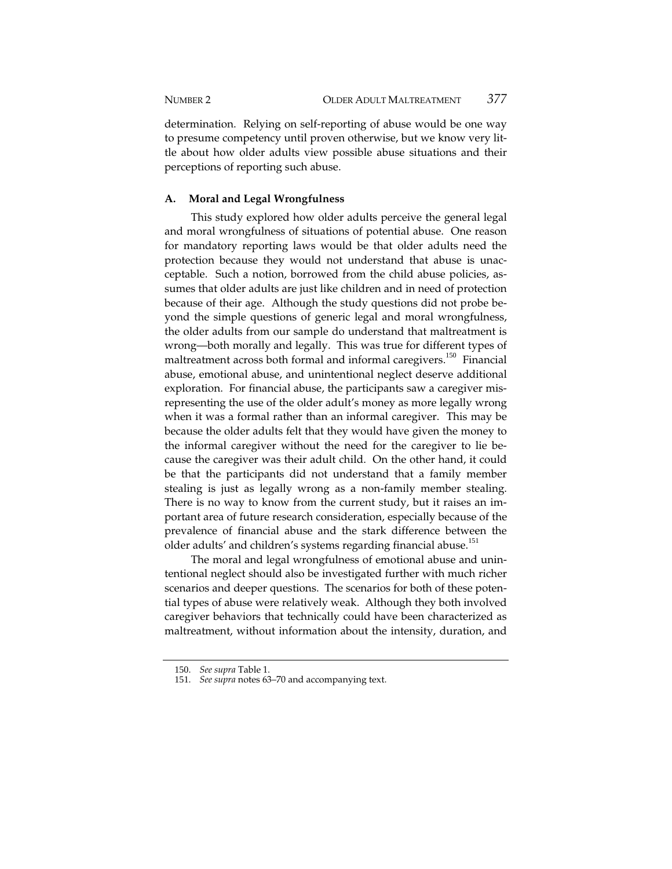determination. Relying on self-reporting of abuse would be one way to presume competency until proven otherwise, but we know very little about how older adults view possible abuse situations and their perceptions of reporting such abuse.

#### **A. Moral and Legal Wrongfulness**

This study explored how older adults perceive the general legal and moral wrongfulness of situations of potential abuse. One reason for mandatory reporting laws would be that older adults need the protection because they would not understand that abuse is unacceptable. Such a notion, borrowed from the child abuse policies, assumes that older adults are just like children and in need of protection because of their age. Although the study questions did not probe beyond the simple questions of generic legal and moral wrongfulness, the older adults from our sample do understand that maltreatment is wrong—both morally and legally. This was true for different types of maltreatment across both formal and informal caregivers.<sup>150</sup> Financial abuse, emotional abuse, and unintentional neglect deserve additional exploration. For financial abuse, the participants saw a caregiver misrepresenting the use of the older adult's money as more legally wrong when it was a formal rather than an informal caregiver. This may be because the older adults felt that they would have given the money to the informal caregiver without the need for the caregiver to lie because the caregiver was their adult child. On the other hand, it could be that the participants did not understand that a family member stealing is just as legally wrong as a non-family member stealing. There is no way to know from the current study, but it raises an important area of future research consideration, especially because of the prevalence of financial abuse and the stark difference between the older adults' and children's systems regarding financial abuse.<sup>151</sup>

The moral and legal wrongfulness of emotional abuse and unintentional neglect should also be investigated further with much richer scenarios and deeper questions. The scenarios for both of these potential types of abuse were relatively weak. Although they both involved caregiver behaviors that technically could have been characterized as maltreatment, without information about the intensity, duration, and

<sup>150</sup>. *See supra* Table 1.

<sup>151</sup>. *See supra* notes 63–70 and accompanying text.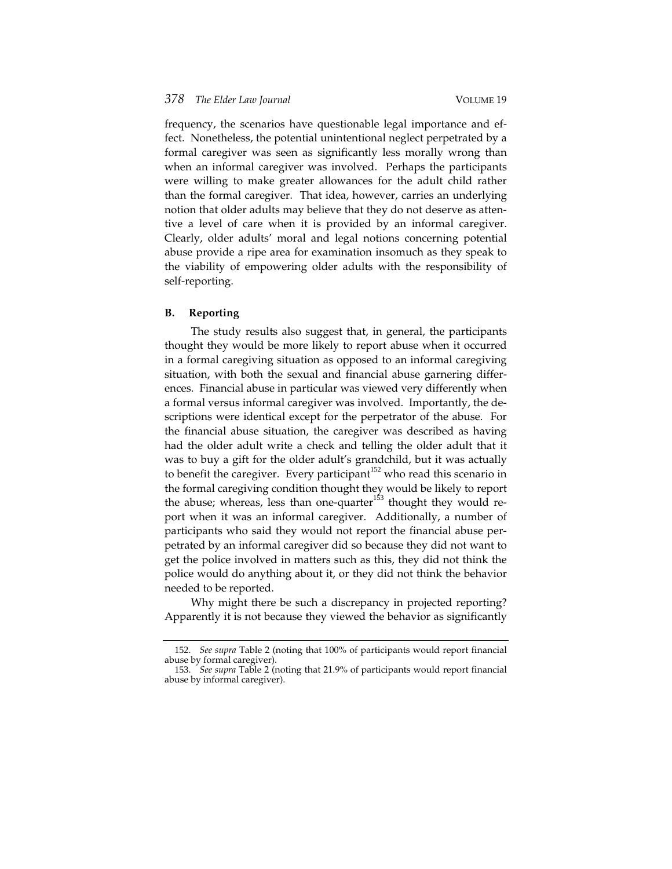frequency, the scenarios have questionable legal importance and effect. Nonetheless, the potential unintentional neglect perpetrated by a formal caregiver was seen as significantly less morally wrong than when an informal caregiver was involved. Perhaps the participants were willing to make greater allowances for the adult child rather than the formal caregiver. That idea, however, carries an underlying notion that older adults may believe that they do not deserve as attentive a level of care when it is provided by an informal caregiver. Clearly, older adults' moral and legal notions concerning potential abuse provide a ripe area for examination insomuch as they speak to the viability of empowering older adults with the responsibility of self-reporting.

#### **B. Reporting**

The study results also suggest that, in general, the participants thought they would be more likely to report abuse when it occurred in a formal caregiving situation as opposed to an informal caregiving situation, with both the sexual and financial abuse garnering differences. Financial abuse in particular was viewed very differently when a formal versus informal caregiver was involved. Importantly, the descriptions were identical except for the perpetrator of the abuse. For the financial abuse situation, the caregiver was described as having had the older adult write a check and telling the older adult that it was to buy a gift for the older adult's grandchild, but it was actually to benefit the caregiver. Every participant<sup>152</sup> who read this scenario in the formal caregiving condition thought they would be likely to report the abuse; whereas, less than one-quarter<sup>153</sup> thought they would report when it was an informal caregiver. Additionally, a number of participants who said they would not report the financial abuse perpetrated by an informal caregiver did so because they did not want to get the police involved in matters such as this, they did not think the police would do anything about it, or they did not think the behavior needed to be reported.

Why might there be such a discrepancy in projected reporting? Apparently it is not because they viewed the behavior as significantly

<sup>152</sup>. *See supra* Table 2 (noting that 100% of participants would report financial abuse by formal caregiver).

<sup>153</sup>. *See supra* Table 2 (noting that 21.9% of participants would report financial abuse by informal caregiver).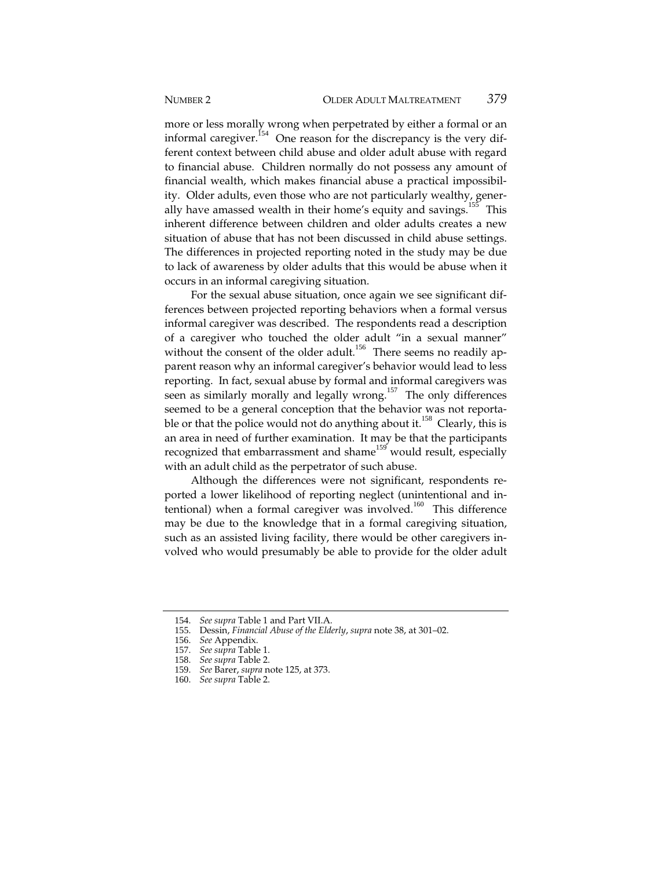more or less morally wrong when perpetrated by either a formal or an informal caregiver.<sup> $154$ </sup> One reason for the discrepancy is the very different context between child abuse and older adult abuse with regard to financial abuse. Children normally do not possess any amount of financial wealth, which makes financial abuse a practical impossibility. Older adults, even those who are not particularly wealthy, generally have amassed wealth in their home's equity and savings. $155$  This inherent difference between children and older adults creates a new situation of abuse that has not been discussed in child abuse settings. The differences in projected reporting noted in the study may be due to lack of awareness by older adults that this would be abuse when it occurs in an informal caregiving situation.

For the sexual abuse situation, once again we see significant differences between projected reporting behaviors when a formal versus informal caregiver was described. The respondents read a description of a caregiver who touched the older adult "in a sexual manner" without the consent of the older adult.<sup>156</sup> There seems no readily apparent reason why an informal caregiver's behavior would lead to less reporting. In fact, sexual abuse by formal and informal caregivers was seen as similarly morally and legally wrong.<sup>157</sup> The only differences seemed to be a general conception that the behavior was not reportable or that the police would not do anything about it.<sup>158</sup> Clearly, this is an area in need of further examination. It may be that the participants recognized that embarrassment and shame<sup>159</sup> would result, especially with an adult child as the perpetrator of such abuse.

Although the differences were not significant, respondents reported a lower likelihood of reporting neglect (unintentional and intentional) when a formal caregiver was involved.<sup>160</sup> This difference may be due to the knowledge that in a formal caregiving situation, such as an assisted living facility, there would be other caregivers involved who would presumably be able to provide for the older adult

<sup>154</sup>. *See supra* Table 1 and Part VII.A.

<sup>155</sup>. Dessin, *Financial Abuse of the Elderly*, *supra* note 38, at 301–02.

<sup>156</sup>. *See* Appendix.

<sup>157</sup>. *See supra* Table 1.

<sup>158</sup>. *See supra* Table 2.

<sup>159</sup>. *See* Barer, *supra* note 125, at 373.

<sup>160</sup>. *See supra* Table 2.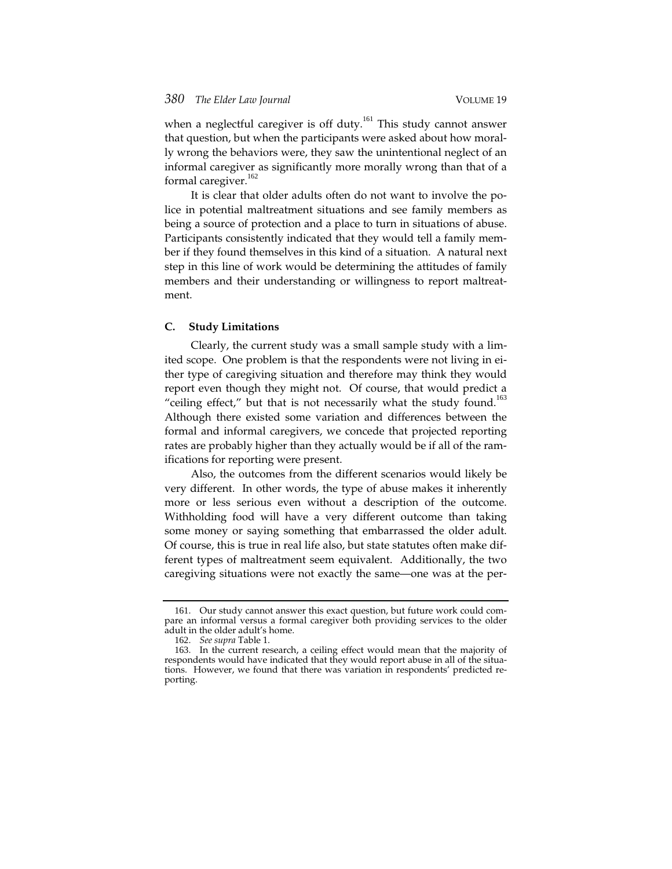when a neglectful caregiver is off duty.<sup>161</sup> This study cannot answer that question, but when the participants were asked about how morally wrong the behaviors were, they saw the unintentional neglect of an informal caregiver as significantly more morally wrong than that of a formal caregiver.<sup>162</sup>

It is clear that older adults often do not want to involve the police in potential maltreatment situations and see family members as being a source of protection and a place to turn in situations of abuse. Participants consistently indicated that they would tell a family member if they found themselves in this kind of a situation. A natural next step in this line of work would be determining the attitudes of family members and their understanding or willingness to report maltreatment.

#### **C. Study Limitations**

Clearly, the current study was a small sample study with a limited scope. One problem is that the respondents were not living in either type of caregiving situation and therefore may think they would report even though they might not. Of course, that would predict a "ceiling effect," but that is not necessarily what the study found. $163$ Although there existed some variation and differences between the formal and informal caregivers, we concede that projected reporting rates are probably higher than they actually would be if all of the ramifications for reporting were present.

Also, the outcomes from the different scenarios would likely be very different. In other words, the type of abuse makes it inherently more or less serious even without a description of the outcome. Withholding food will have a very different outcome than taking some money or saying something that embarrassed the older adult. Of course, this is true in real life also, but state statutes often make different types of maltreatment seem equivalent. Additionally, the two caregiving situations were not exactly the same—one was at the per-

<sup>161</sup>. Our study cannot answer this exact question, but future work could compare an informal versus a formal caregiver both providing services to the older adult in the older adult's home.

<sup>162</sup>. *See supra* Table 1.

<sup>163</sup>. In the current research, a ceiling effect would mean that the majority of respondents would have indicated that they would report abuse in all of the situations. However, we found that there was variation in respondents' predicted reporting.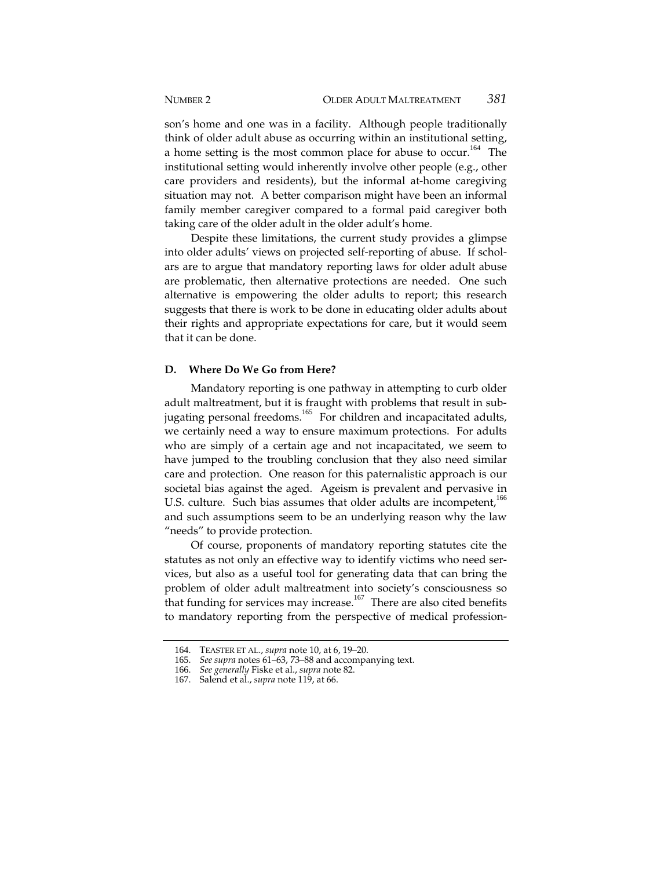son's home and one was in a facility. Although people traditionally think of older adult abuse as occurring within an institutional setting, a home setting is the most common place for abuse to occur.<sup>164</sup> The institutional setting would inherently involve other people (e.g., other care providers and residents), but the informal at-home caregiving situation may not. A better comparison might have been an informal family member caregiver compared to a formal paid caregiver both taking care of the older adult in the older adult's home.

Despite these limitations, the current study provides a glimpse into older adults' views on projected self-reporting of abuse. If scholars are to argue that mandatory reporting laws for older adult abuse are problematic, then alternative protections are needed. One such alternative is empowering the older adults to report; this research suggests that there is work to be done in educating older adults about their rights and appropriate expectations for care, but it would seem that it can be done.

#### **D. Where Do We Go from Here?**

Mandatory reporting is one pathway in attempting to curb older adult maltreatment, but it is fraught with problems that result in subjugating personal freedoms.<sup>165</sup> For children and incapacitated adults, we certainly need a way to ensure maximum protections. For adults who are simply of a certain age and not incapacitated, we seem to have jumped to the troubling conclusion that they also need similar care and protection. One reason for this paternalistic approach is our societal bias against the aged. Ageism is prevalent and pervasive in U.S. culture. Such bias assumes that older adults are incompetent,<sup>166</sup> and such assumptions seem to be an underlying reason why the law "needs" to provide protection.

Of course, proponents of mandatory reporting statutes cite the statutes as not only an effective way to identify victims who need services, but also as a useful tool for generating data that can bring the problem of older adult maltreatment into society's consciousness so that funding for services may increase.<sup>167</sup> There are also cited benefits to mandatory reporting from the perspective of medical profession-

<sup>164</sup>. TEASTER ET AL., *supra* note 10, at 6, 19–20.

<sup>165</sup>. *See supra* notes 61–63, 73–88 and accompanying text.

<sup>166</sup>. *See generally* Fiske et al., *supra* note 82.

<sup>167</sup>. Salend et al., *supra* note 119, at 66.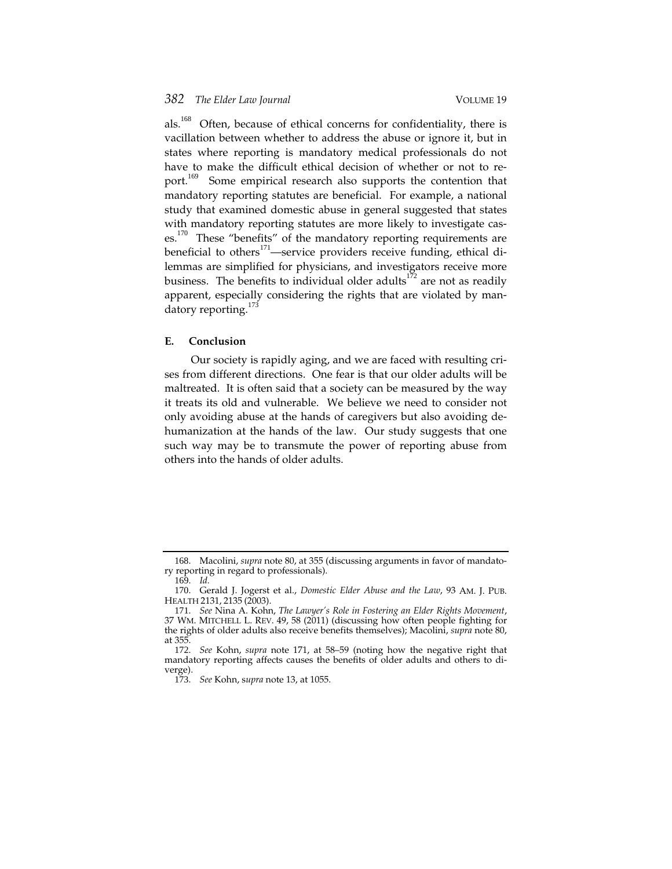als.<sup>168</sup> Often, because of ethical concerns for confidentiality, there is vacillation between whether to address the abuse or ignore it, but in states where reporting is mandatory medical professionals do not have to make the difficult ethical decision of whether or not to report.<sup>169</sup> Some empirical research also supports the contention that mandatory reporting statutes are beneficial. For example, a national study that examined domestic abuse in general suggested that states with mandatory reporting statutes are more likely to investigate cases.<sup>170</sup> These "benefits" of the mandatory reporting requirements are beneficial to others $171$ —service providers receive funding, ethical dilemmas are simplified for physicians, and investigators receive more business. The benefits to individual older adults<sup>172</sup> are not as readily apparent, especially considering the rights that are violated by mandatory reporting.<sup>173</sup>

#### **E. Conclusion**

Our society is rapidly aging, and we are faced with resulting crises from different directions. One fear is that our older adults will be maltreated. It is often said that a society can be measured by the way it treats its old and vulnerable. We believe we need to consider not only avoiding abuse at the hands of caregivers but also avoiding dehumanization at the hands of the law. Our study suggests that one such way may be to transmute the power of reporting abuse from others into the hands of older adults.

<sup>168</sup>. Macolini, *supra* note 80, at 355 (discussing arguments in favor of mandatory reporting in regard to professionals).

<sup>169</sup>. *Id.*

<sup>170</sup>. Gerald J. Jogerst et al., *Domestic Elder Abuse and the Law*, 93 AM. J. PUB. HEALTH 2131, 2135 (2003).

<sup>171</sup>. *See* Nina A. Kohn, *The Lawyer's Role in Fostering an Elder Rights Movement*, 37 WM. MITCHELL L. REV. 49, 58 (2011) (discussing how often people fighting for the rights of older adults also receive benefits themselves); Macolini, *supra* note 80, at 355.

<sup>172</sup>. *See* Kohn, *supra* note 171, at 58–59 (noting how the negative right that mandatory reporting affects causes the benefits of older adults and others to diverge).

<sup>173</sup>. *See* Kohn, s*upra* note 13, at 1055.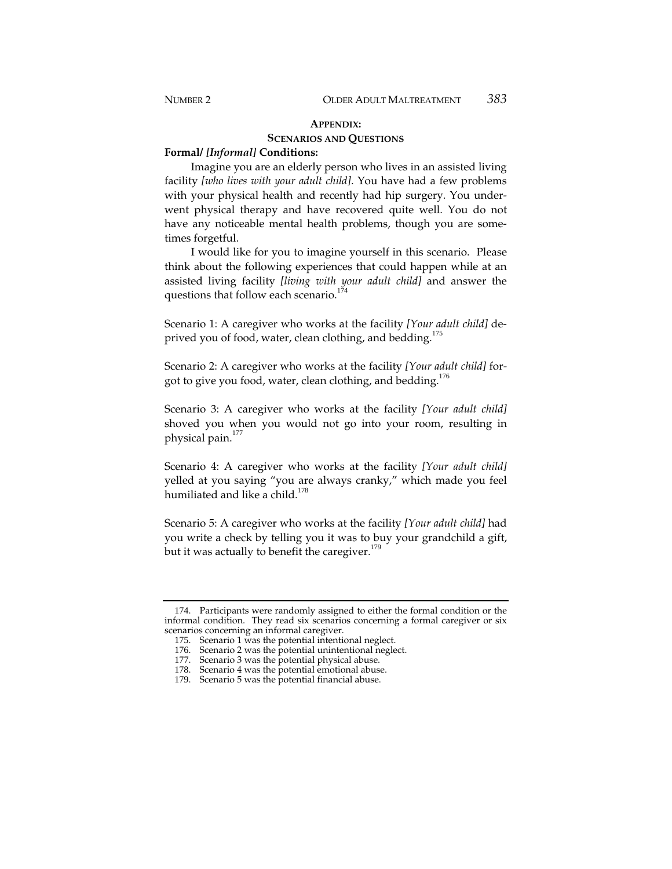## **APPENDIX: SCENARIOS AND QUESTIONS**

#### **Formal/** *[Informal]* **Conditions:**

Imagine you are an elderly person who lives in an assisted living facility *[who lives with your adult child]*. You have had a few problems with your physical health and recently had hip surgery. You underwent physical therapy and have recovered quite well. You do not have any noticeable mental health problems, though you are sometimes forgetful.

I would like for you to imagine yourself in this scenario. Please think about the following experiences that could happen while at an assisted living facility *[living with your adult child]* and answer the questions that follow each scenario.<sup>174</sup>

Scenario 1: A caregiver who works at the facility *[Your adult child]* deprived you of food, water, clean clothing, and bedding.<sup>175</sup>

Scenario 2: A caregiver who works at the facility *[Your adult child]* forgot to give you food, water, clean clothing, and bedding.<sup>176</sup>

Scenario 3: A caregiver who works at the facility *[Your adult child]* shoved you when you would not go into your room, resulting in physical pain. $177$ 

Scenario 4: A caregiver who works at the facility *[Your adult child]* yelled at you saying "you are always cranky," which made you feel humiliated and like a child.<sup>178</sup>

Scenario 5: A caregiver who works at the facility *[Your adult child]* had you write a check by telling you it was to buy your grandchild a gift, but it was actually to benefit the caregiver.<sup>179</sup>

<sup>174</sup>. Participants were randomly assigned to either the formal condition or the informal condition. They read six scenarios concerning a formal caregiver or six scenarios concerning an informal caregiver.

<sup>175</sup>. Scenario 1 was the potential intentional neglect.

<sup>176</sup>. Scenario 2 was the potential unintentional neglect.

<sup>177</sup>. Scenario 3 was the potential physical abuse.

<sup>178</sup>. Scenario 4 was the potential emotional abuse.

<sup>179</sup>. Scenario 5 was the potential financial abuse.